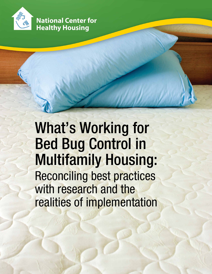

**National Center for Healthy Housing** 

# What's Working for Bed Bug Control in Multifamily Housing: Reconciling best practices with research and the realities of implementation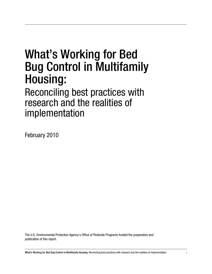# What's Working for Bed Bug Control in Multifamily Housing:

Reconciling best practices with research and the realities of implementation

February 2010

The U.S. Environmental Protection Agency's Office of Pesticide Programs funded the preparation and publication of this report.

What's Working for Bed Bug Control in Multifamily Housing: Reconciling best practices with research and the realities of implementation i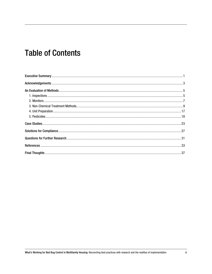## **Table of Contents**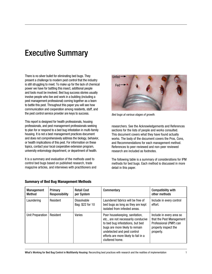## Executive Summary

There is no silver bullet for eliminating bed bugs. They present a challenge to modern pest control that the industry is still struggling to meet. To make up for the lack of chemical power we have for battling this insect, additional people and tools must be involved. Bed bug success stories usually involve people who live and work in a building (including a pest management professional) coming together as a team to battle this pest. Throughout this paper you will see how communication and cooperation among residents, staff, and the pest control service provider are keys to success.

This report is designed for health professionals, housing professionals, and pest management professionals seeking to plan for or respond to a bed bug infestation in multi-family housing. It is not a best management practices document and does not comprehensively address the biology, behavior, or health implications of this pest. For information on these topics, contact your local cooperative extension program, university entomology department, or department of health.

It is a summary and evaluation of the methods used to control bed bugs based on published research, trade magazine articles, and interviews with practitioners and



*Bed bugs at various stages of growth.*

researchers. See the Acknowledgements and References sections for the lists of people and works consulted. This document covers what they have found actually works. The body of the document covers the Pros, Cons, and Recommendations for each management method. References to peer reviewed and non-peer reviewed research are included as footnotes.

The following table is a summary of considerations for IPM methods for bed bugs. Each method is discussed in more detail in this paper.

| <b>Management</b><br>Method | Primary<br>Responsibility | <b>Retail Cost</b><br>per System | Commentary                                                                                                                                                                                                                            | <b>Compatibility with</b><br>other methods                                                                          |
|-----------------------------|---------------------------|----------------------------------|---------------------------------------------------------------------------------------------------------------------------------------------------------------------------------------------------------------------------------------|---------------------------------------------------------------------------------------------------------------------|
| Laundering                  | Resident                  | Dissolvable<br>Bag: \$22 for 10  | Laundered fabrics will be free of<br>bed bugs as long as they are kept<br>isolated from infested areas.                                                                                                                               | Include in every control<br>effort.                                                                                 |
| Unit Preparation            | Resident                  | Varies                           | Poor housekeeping, sanitation,<br>etc., are not necessarily conducive<br>to bed bug infestations, but bed<br>bugs are more likely to remain<br>undetected and pest control<br>efforts are more likely to fail in a<br>cluttered home. | Include in every area so<br>that the Pest Management<br>Professional (PMP) can<br>properly inspect the<br>property. |

#### Summary of Bed Bug Management Methods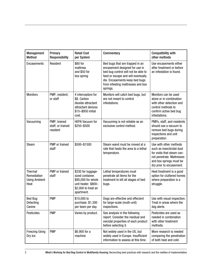| Management<br><b>Method</b>                                   | Primary<br>Responsibility                     | <b>Retail Cost</b><br>per System                                                                                         | Commentary                                                                                                                                                                                                                        | <b>Compatibility with</b><br>other methods                                                                                                                           |
|---------------------------------------------------------------|-----------------------------------------------|--------------------------------------------------------------------------------------------------------------------------|-----------------------------------------------------------------------------------------------------------------------------------------------------------------------------------------------------------------------------------|----------------------------------------------------------------------------------------------------------------------------------------------------------------------|
| Encasements                                                   | Resident                                      | \$80 for<br>mattress<br>and \$50 for<br>box spring                                                                       | Bed bugs that are trapped in an<br>encasement designed for use in<br>bed bug control will not be able to<br>feed or escape and will eventually<br>die. Encasements keep bed bugs<br>from infesting mattresses and box<br>springs. | Use encasements either<br>after treatment or before<br>an infestation is found.                                                                                      |
| <b>Monitors</b>                                               | PMP, resident,<br>or staff                    | 4 interceptors for<br>\$8. Carbon<br>dioxide attractant<br>attractant devices<br>\$15-\$950 initial<br>cost.             | Monitors will catch bed bugs, but<br>are not meant to control<br>infestations.                                                                                                                                                    | Monitors can be used<br>alone or in combination<br>with other detection and<br>control methods to<br>confirm active bed bug<br>infestations.                         |
| Vacuuming                                                     | PMP, trained<br>staff, or trained<br>resident | <b>HEPA Vacuum for</b><br>\$250-\$500                                                                                    | Vacuuming is not reliable as an<br>exclusive control method.                                                                                                                                                                      | PMPs, staff, and residents<br>should use a vacuum to<br>remove bed bugs during<br>inspections and unit<br>preparation.                                               |
| <b>Steam</b>                                                  | PMP or trained<br>staff                       | \$500-\$1500                                                                                                             | Steam wand must be moved at a<br>rate that heats the area to a lethal<br>temperature.                                                                                                                                             | Use with other methods<br>such as insecticidal dust<br>for voids that steam can-<br>not penetrate. Mattresses<br>and box springs must be<br>dry prior to encasement. |
| <b>Thermal</b><br>Remediation<br><b>Using Ambient</b><br>Heat | PMP or trained<br>staff                       | \$330 for luggage-<br>sized container.<br>\$90,000 for whole<br>unit heater. \$800-<br>\$2,000 to treat an<br>apartment. | Lethal temperatures must<br>penetrate all items for the<br>treatment to kill all stages of bed<br>bugs.                                                                                                                           | Heat treatment is a good<br>option for cluttered homes<br>where preparation is a<br>struggle.                                                                        |
| <b>Bed Bug</b><br>Detecting<br>Canine                         | <b>PMP</b>                                    | \$10,000 to<br>purchase. \$1,300<br>per team per day.                                                                    | Dogs are effective and effecient<br>for large-scale (multi-unit)<br>inspections.                                                                                                                                                  | Use with visual inspection.<br>Treat in areas where the<br>dog alerts.                                                                                               |
| Pesticides                                                    | <b>PMP</b>                                    | Varies by product.                                                                                                       | See analysis in the following<br>report. Consider the residual and<br>ovicidal properties of each product<br>before selecting it.                                                                                                 | Pesticides are used as<br>needed in combination<br>with other treatment<br>methods.                                                                                  |
| <b>Freezing Using</b><br>Dry Ice                              | <b>PMP</b>                                    | \$6,900 for a<br>machine                                                                                                 | Not widely used in the US, but<br>widely used in Europe. Insufficient<br>information to assess at this time.                                                                                                                      | More research is needed<br>comparing the penetration<br>of both heat and cold.                                                                                       |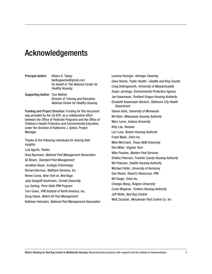## Acknowledgements

| <b>Principal Author:</b> | Allison A. Taisev                           |
|--------------------------|---------------------------------------------|
|                          | bedbugworks@gmail.com                       |
|                          | On behalf of <i>The National Center for</i> |
|                          | Healthy Housing                             |
|                          |                                             |

Supporting Author: Tom Neltner Director of Training and Education *National Center for Healthy Housing*

Funding and Project Direction: Funding for this document was provided by the US EPA, as a collaborative effort between the Office of Pesticide Programs and the Office of Children's Health Protection and Environmental Education, under the direction of Katherine J. Seikel, Project Manager.

Thanks to the following individuals for sharing their insights:

Luis Agurto, *Pestec* Greg Baumann, *National Pest Management Association* Gil Bloom, *Standard Pest Management* Jonathan Boyar, *Ecologic Entomology* Richard Berman, *Waltham Services, Inc.* Renee Corea, *New York vs. Bed Bugs* Jody Gangloff-Kaufmann, *Cornell University* Lyn Garling, *Penn State IPM Program* Tom Green, *IPM Institute of North America, Inc.* Doug Hayes, *Watch All Pest Management* 

Kathleen Heinsohn, *National Pest Management Association*

Leonina Heringer, *Heringer Cleaning* Dave Hickok, *Public Health—Seattle and King County* Craig Hollingsworth, *University of Massachusetts* Susan Jennings, *Environmental Protection Agency* Jan Kasameyer, *Portland Oregon Housing Authority* Elizabeth Kasameyer-Bartsch, *Baltimore City Health Department* Steven Kells, *University of Minnesota* Bill Klein, *Milwaukee Housing Authority* Marc Lame, *Indiana University* Kitty Lee, *Residex* Lori Luce, *Boston Housing Authority* Frank Meek, *Orkin Inc.* Mike Merchant, *Texas A&M University* Dini Miller, *Virginia Tech* Mike Peaslee, *Modern Pest Services* Shelley Peterson, *Franklin County Housing Authority* Bill Petersen, *Seattle Housing Authority* Michael Potter, *University of Kentucky* Don Rivard, *Rivard's Resources: IPM* Bill Siegel, *Orkin Inc.* Changlu Wang, *Rutgers University* Curtis Wegener, *Yonkers Housing Authority* Jeff White, *Bed Bug Central* Matt Zacarian, *Minuteman Pest Control Co. Inc*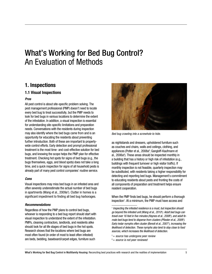## What's Working for Bed Bug Control? An Evaluation of Methods

### 1. Inspections

#### 1.1 Visual Inspections

#### *Pros*

All pest control is about site-specific problem solving. The pest management professional (PMP) doesn't need to locate every bed bug to treat successfully, but the PMP needs to look for bed bugs in various locations to determine the extent of the infestation. In addition, a visual inspection is essential for understanding site-specific limitations and preparation needs. Conversations with the residents during inspection may also identify where the bed bugs came from and is an opportunity for educating the residents about preventing further introduction. Both of these are important to propertywide control efforts. Early detection and prompt professional treatment is the most time- and cost-effective solution for bed bugs, and knowing the scope helps the PMP plan for effective treatment. Checking hot spots for signs of bed bugs (e.g., the bugs themselves, eggs, and blood spots) does not take a long time, and a quick inspection for signs of all household pests is already part of many pest control companies' routine service.

#### *Cons*

Visual inspections may miss bed bugs in an infested area and often severely underestimate the actual number of bed bugs in apartments (Wang et al., 2009a† ). Clutter in homes is a significant impediment to finding all bed bug harborages.

#### *Recommendations*

Regardless of how the PMP plans to control bed bugs, whoever is responding to a bed bug report should start with visual inspection to understand the extent of the infestation. PMPs, cleaning contractors, landlords, and residents alike should look for all life stages of bed bugs in the hot spots. Research shows that the locations where bed bugs are most often found (in order of most to least often infested) are beds, bedding, baseboard/carpet edges, furniture such



*Bed bug crawling into a screwhole to hide.*

as nightstands and dressers, upholstered furniture such as couches and chairs, walls and ceilings, clothing, and appliances (Potter et al., 2008a‡ ; Gangloff-Kaufmann et al., 2006a‡ ). These areas should be inspected monthly in a building that has a history or high risk of infestation (e.g., buildings with frequent turnover or high visitor traffic). If monthly inspection is not feasible, quarterly inspection may be substituted, with residents taking a higher responsibility for detecting and reporting bed bugs. Management's commitment to educating residents about pests and fronting the costs of all components of preparation and treatment helps ensure resident cooperation.

When the PMP finds bed bugs, he should perform a thorough inspection<sup>1</sup>. At a minimum, the PMP must have access and

† = *source has undergone peer review* ‡ = *source is not peer reviewed*

What's Working for Bed Bug Control in Multifamily Housing: Reconciling best practices with research and the realities of implementation 5

<sup>1</sup>  *Inspecting the infested residence is a must, but inspection should go beyond the infested unit (Wang et al., 2010*† *). Adult bed bugs can travel over 16 feet in five minutes (Haynes et al., 2008*‡ *), and adult female bed bugs tend to disperse from clusters (Pfiester et al., 2009*† *). Early instar nymphs often cluster (Benoit et al., 2007*† *), increasing the likelihood of detection. These nymphs also tend to stay close to food sources, which increases the likelihood of detection.*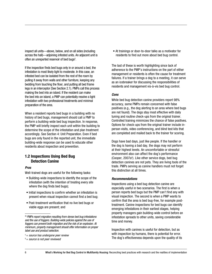inspect all units—above, below, and on all sides (including across the hall)—adjoining infested units. An adjacent unit is often an unreported reservoir of bed bugs<sup>2</sup>.

If the inspection finds bed bugs only in or around a bed, the infestation is most likely light to moderate. In this case, an infested bed can be isolated from the rest of the room by pulling it away from walls and other furniture, keeping any bedding from touching the floor, and putting all bed frame legs in an interceptor (See Section 2.1). PMPs call this process making the bed into an island. If the resident can make the bed into an island, a PMP can potentially resolve a light infestation with two professional treatments and minimal preparation of the area.

When a resident reports bed bugs in a building with no history of bed bugs, management should call a PMP to perform a building-wide bed bug inspection. In response, the PMP will briefly inspect each unit within the building to determine the scope of the infestation and plan treatment accordingly. See Section 4: Unit Preparation. Even if bed bugs are only found in the reported unit, the immediate building-wide response can be used to educate other residents about inspection and prevention.

#### 1.2 Inspections Using Bed Bug Detection Canine

#### *Pros*

Well-trained dogs are useful for the following tasks:

- Building-wide inspections to identify the scope of the infestation (with the intention of treating every site where the dog finds bed bugs);
- Initial inspections to confirm whether an infestation is present when visual inspection cannot find a bed bug;
- Post-treatment verification that no live bed bugs or viable eggs are present; and

• At trainings or door-to-door talks as a motivator for residents to find out more about bed bug control.

The last of these is worth highlighting since lack of adherence to the PMP's instructions on the part of either management or residents is often the cause for treatment failures. If a trainer brings a dog to a meeting, it can serve as an icebreaker for discussing the responsibilities of residents and management vis-à-vis bed bug control.

#### *Cons*

While bed bug detection canine providers report 98% accuracy, some PMPs remain concerned with false positives (e.g., the dog alerting to an area where bed bugs are not found). The dogs stay most effective with daily tuning and routine check-ups from the original trainer. Controlled training minimizes the chance of false positives. Options for check-ups from the original trainer include inperson visits, video conferencing, and blind test kits that are completed and mailed back to the trainer for scoring.

Dogs have bad days, just like people. If the handler or the dog is having a bad day, the dogs may not perform at their highest levels. An uncomfortable or stressful environment also can affect the dog's performance (Cooper, 2007a‡ ). Like other service dogs, bed bug detection canines are not pets. They are living tools of the trade. PMPs serving as canine handlers must not forget this distinction at all times.

#### *Recommendations*

Inspections using a bed bug detection canine are especially useful in two scenarios. The first is when a person reports bed bugs but the PMP can't find any with visual inspection. The second is when a PMP wants to confirm that the area is bed bug-free, for example posttreatment. Canine inspections for bed bugs can identify emerging infestations in their earliest stages, helping property managers gain building-wide control before an infestation spreads to other units, saving considerable time and money.

Inspection with canines is useful for detection, but as with inspection by humans, there is potential for error. The dog's effectiveness depends upon the quality of its

<sup>2‡</sup> *PMPs report migration resulting from dense bed bug infestations and the use of foggers. Building-wide policies against the use of foggers can prevent both migration and the risk of an explosion. At minimum, property management should offer information on proper label use and product selection.*

<sup>† =</sup> *source has undergone peer review*

<sup>‡ =</sup> *source is not peer reviewed*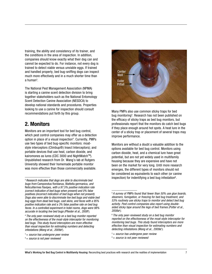training, the ability and consistency of its trainer, and the conditions in the area of inspection. In addition, companies should know exactly what their dog can and cannot be expected to do. For instance, not every dog is trained to detect viable versus unviable eggs. If trained and handled properly, bed bug-sniffing dogs can inspect much more effectively and in a much shorter time than a human $^3\!\!$  .

The National Pest Management Association (NPMA) is starting a canine scent detection division to bring together stakeholders such as the National Entomology Scent Detection Canine Association (NESDCA) to develop national standards and procedures. Properties looking to use a canine for inspection should consult recommendations put forth by this group.

### 2. Monitors

Monitors are an important tool for bed bug control, which pest control companies may offer as a detection option in place of a visual inspection<sup>4</sup>. Currently, PMPs use two types of bed bug-specific monitors: moatstyle interceptors (Climbup®) Insect Interceptors); and portable devices that use heat, carbon dioxide, and kairomones as lures (CDC 3000 and NightWatch™). Unpublished research from Dr. Wang's lab at Rutgers University showed their homemade portable monitor was more effective than those commercially available.



Many PMPs also use common sticky traps for bed bug monitoring<sup>5</sup>. Research has not been published on the efficacy of sticky traps as bed bug monitors, but professionals report that the monitors do catch bed bugs if they place enough around hot spots. A heat lure in the center of a sticky trap or placement of several traps may improve performance.

Monitors are without a doubt a valuable addition to the options available for bed bug control. Monitors using carbon dioxide, heat, and a chemical lure have great potential, but are not yet widely used in multifamily housing because they are expensive and have not been on the market for very long. Until more research emerges, the different types of monitors should not be considered as equivalents to each other (or canine inspection) for indentifying a bed bug infestation<sup>6</sup>.

<sup>3</sup>*Research indicates that dogs are able to discriminate bed bugs from* Camponotus floridanus, Blattella germanica, *and* Reticulitermes flavipes, *with a 97.5% positive indication rate (correct indication of bed bugs when present) and 0% false positives (incorrect indication of bed bugs when not present). Dogs also were able to discriminate live bed bugs and viable bed bug eggs from dead bed bugs, cast skins, and feces with a 95% positive indication rate and a 3% false positive rate on bed bug feces. In a controlled experiment in hotel rooms, dogs were 98% accurate in locating live bed bugs (Pfiester et al., 2008*† ).

<sup>4</sup>*The only peer-reviewed study on a bed bug monitor reported on the effectiveness of the moat-style interceptor for monitoring bed bugs. This study found interceptors are more effective than visual inspection for estimating numbers and detecting infestations (Wang et al., 2009a*† ).

<sup>† =</sup> *source has undergone peer review*

<sup>‡ =</sup> *source is not peer reviewed*

<sup>5</sup>*A survey of PMPs found that fewer than 50% use glue boards, steamers, fumigation, or freezing for bed bug treatment, and 53% routinely use sticky traps to monitor and detect bed bug activity. Pest control companies also report using doublesided sticky tape around the legs of bed frames (Potter et al., 2008a*‡ *).*

<sup>6</sup>*The only peer-reviewed study on a bed bug monitor reported on the effectiveness of the moat-style interceptor for monitoring bed bugs. This study found interceptors are more effective than visual inspection for estimating numbers and detecting infestations (Wang et al., 2009a*† *).*

<sup>† =</sup> *source has undergone peer review*

<sup>‡ =</sup> *source is not peer reviewed*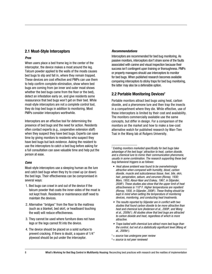#### 2.1 Moat-Style Interceptors

#### *Pros*

When users place a bed frame leg in the center of the interceptor, the device makes a moat around the leg. Talcum powder applied to the walls of the moats causes bed bugs to slip and fall in, where they remain trapped. These devices are cost effective and PMPs can use them to help confirm complete elimination, show where bed bugs are coming from (an inner and outer moat shows whether the bed bugs came from the floor or the bed), detect an infestation early on, and give residents some reassurance that bed bugs won't get on their bed. While moat-style interceptors are not a complete control tool, they do trap bed bugs in addition to monitoring. Most PMPs consider interceptors worthwhile.

Interceptors are an effective tool for determining the presence of bed bugs and the need for action. Residents often contact experts (e.g., cooperative extension staff) when they suspect they have bed bugs. Experts can save time by giving monitors to residents who suspect they have bed bugs but lack evidence. Asking the resident to use the interceptors to catch a bed bug before asking for a full consultation can save valuable time and help put the person at ease.

#### *Cons*

Moat-style interceptors use a sleeping human as the lure and catch bed bugs when they try to crawl up (or down) the bed legs. Their effectiveness can be compromised in several ways:

- 1. Bed bugs can crawl in and out of the device if the talcum powder that coats the inner-sides of the moat is not kept fresh. Residents or maintenance staff need to maintain the devices.
- 2. Alternative "bridges" from the floor to the mattress (such as a blanket, bed skirt, or headboard touching the wall) will reduce effectiveness.
- 3. They cannot be used where furniture does not have legs or the legs cannot fit into the device.
- 4. The device should be placed on a solid surface to prevent cracking. If there is doubt, a square of 1/4" plywood should be put under the interceptor.

#### *Recommendations*

Interceptors are recommended for bed bug monitoring. As passive monitors, interceptors don't share some of the faults associated with canine and visual inspection because their success isn't contingent upon training or thoroughness. PMPs or property managers should use interceptors to monitor for bed bugs. When published research becomes available comparing interceptors to sticky traps for bed bug monitoring, the latter may also be a defensible option.

#### 2.2 Portable Monitoring Devices<sup>7</sup>

Portable monitors attract bed bugs using heat, carbon dioxide, and a pheromone lure and then trap the insects in a compartment where they die. While effective, use of these interceptors is limited by their cost and availability. The monitors commercially available use the same concepts, but differ in design. For a comparison of the monitors on the market and how to make a low-cost alternative watch for published research by Wan-Tien Tsai in the Wang lab at Rutgers University.

- *Heat above ambient was found to be overwhelmingly attractive when compared with humidity, blood, carbon dioxide, muscle and subcutaneous tissue, liver, bile, skin, hair, perspiration, sebum, and cerumen (Rivnay, 1930; Marx, 1955; Aboul-Nasr and Erakey, 1967, in Siljander, 2006*‡ *). These studies also show that the upper limit of heat attractiveness is 110º F. Higher temperatures are repellent (Rivnay, 1930, in Siljander, 2006*‡ *). These finding should be kept in mind when setting the temperature of monitoring devices, monitoring, and conducting heat treatments.*
- *• The results reported by Siljander are in conflict with two studies that found carbon dioxide to be more attractive than heat and chemical lure (Anderson et al., 2009*† *; and Wang et al., 2009c*† *). All studies show that bed bugs are attracted to carbon dioxide and heat, regardless of which is more attractive.*
- *• Traps baited with chemical lure attract more bed bugs than the control, but not at a statistically significant level (Wang et al., 2009c*† *).*
- † = *source has undergone peer review*
- ‡ = *source is not peer reviewed*

<sup>7</sup>*Existing monitors marketed specifically for bed bugs take advantage of the bed bugs' attraction to heat, carbon dioxide, and a chemical lure to mimic their communication pheromone, usually in some combination. The research supporting these bed bug behavioral triggers is as follows:*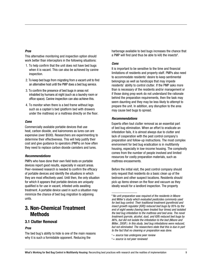#### *Pros*

This alternative monitoring and inspection option should work better than interceptors in the following situations:

- 1. To help confirm that the unit does not have bed bugs when it is vacant. This can also be achieved by canine inspection.
- 2. To keep bed bugs from migrating from a vacant unit to find an alternative host until the PMP does a bed bug service.
- 3. To confirm the presence of bed bugs in areas not inhabited by humans at night (such as a laundry room or office space). Canine inspection can also achieve this.
- 4. To monitor when there is a bed frame without legs such as a captain's bed (platform bed with drawers under the mattress) or a mattress directly on the floor.

#### *Cons*

Commercially available portable devices that use heat, carbon dioxide, and kairomones as lures can are expensive (over \$500). Researchers are experimenting to determine their effectiveness. This will help justify their cost and give guidance to operators (PMPs) on how often they need to replace carbon dioxide canisters and lures.

#### *Recommendations*

PMPs who have done their own field tests on portable devices report good results, especially in vacant areas. Peer-reviewed research is needed to confirm the efficacy of portable devices and identify the situations in which they are most effectively used. Until then, the only situation for which it appears that portable devices are uniquely qualified is for use in vacant, infested units awaiting treatment. A portable device used in such a situation may minimize the chance of bed bug migration to adjoining units.

### 3. Non-Chemical Treatment Methods

#### 3.1 Clutter Removal

#### *Pros*

The bed bug's ability to hide is one of the main reasons why it is such a formidable opponent. Reducing the

harborage available to bed bugs increases the chance that a PMP will find (and thus be able to kill) the insects $^8$ .

#### *Cons*

It is important to be sensitive to the time and financial limitations of residents and property staff. PMPs also need to accommodate residents' desire to keep sentimental belongings as well as handicaps that may impede residents' ability to control clutter. If the PMP asks more than is necessary of the residents and/or management or if those doing prep work do not understand the rationale behind the preparation requirements, then the task may seem daunting and they may be less likely to attempt to prepare the unit. In addition, any disruption to the area may cause bed bugs to spread.

#### *Recommendations*

Experts often tout clutter removal as an essential part of bed bug elimination. When an effort to eradicate an infestation fails, it is almost always due to clutter and lack of cooperation with the pest control company's preparation and follow-up instructions. The most complex environment for bed bug eradication is in multifamily housing, especially in low-income housing. The complexity comes from the number of people involved and limited resources for costly preparation materials, such as mattress encasements.

Before the initial visit, the pest control company should only request that residents do a basic clean up of the bedroom and other suspect locations. Residents should pick up items strewn on the floor and vacuum as they ideally would for a landlord inspection. The property

‡ = *source is not peer reviewed*

<sup>8</sup>*No unit preparation was required of the residents in Moore and Miller's study which evaluated pesticides commonly used for bed bug control. Their traditional treatment (pyrethroid and insect growth regulator [IGR]) reduced bed bugs by 95% by the end of eight weeks (having been treated four times) and isolated the bed bug infestation to the mattress and bed area. The novel treatment (pyrrole, alcohol, dust, and IGR) reduced bed bugs by 86%, but did not isolate the infestation to the bed (Moore and Miller, 2008*† *). In this study, bed bug infestations were reduced, but not eliminated. The researchers state that this is due in part to the fact that no cleaning or preparation was done.*

<sup>† =</sup> *source has undergone peer review*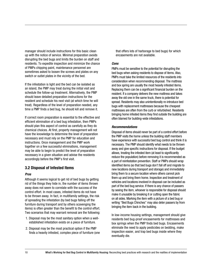manager should include instructions for this basic clean up with the notice of service. Minimal preparation avoids disrupting the bed bugs and limits the burden on staff and residents. To expedite inspection and minimize the chance of PMPs chipping paint, maintenance personnel are sometimes asked to loosen the screws and plates on any switch or outlet plates in the vicinity of the bed.

If the infestation is light and the bed can be isolated as an island, the PMP may treat during the initial visit and schedule the follow-up treatment. Alternatively, the PMP should leave detailed preparation instructions for the resident and schedule his next visit (at which time he will treat). Regardless of the level of preparation needed, any time a PMP finds a bed bug, he should kill and remove it.

If correct room preparation is essential to the effective and efficient elimination of a bed bug infestation, then PMPs should plan this aspect of control as carefully as they do chemical choices. At first, property management will not have the knowledge to determine the level of preparation necessary and must rely on the PMP for education and instructions. Once management and the PMP work together on a few successful eliminations, management may be able to begin to predict the level of preparation necessary in a given situation and advise the residents accordingly before the PMP's first visit.

#### 3.2 Disposal of Infested Items

#### *Pros*

Although it seems logical to get rid of bed bugs by getting rid of the things they hide in, the number of items thrown away does not seem to correlate with the success of the control effort. In most cases, infested items do not have to be thrown away. In fact, in multifamily settings, the risk of spreading the infestation (by bed bugs falling off the furniture during transport and by others scavenging the items) is often greater than the benefit to the control effort. Two scenarios that may warrant removal are the following:

- 1. Disposal may be the most sanitary option when a wellestablished infestation exists on a piece of furniture.
- 2. Disposal may be the most practical option if the PMP finds a heavily infested, complex piece of furniture (one

that offers lots of harborage to bed bugs) for which encasements are not available.

#### *Cons*

PMPs must be sensitive to the potential for disrupting the bed bugs when asking residents to dispose of items. Also, PMPs must take the limited resources of the residents into consideration when recommending disposal. The mattress and box spring are usually the most heavily infested items. Replacing them can be a significant financial burden on the resident. If a company delivers the new mattress and takes away the old one in the same truck, there is potential for spread. Residents may also unintentionally re-introduce bed bugs with replacement mattresses because the cheapest mattresses are often from the curb or refurbished. Residents bringing home infested items they find outside the building are often blamed for building-wide infestations.

#### *Recommendations*

Disposal of items should never be part of a control effort before the PMP visits the home unless the building staff members have experience with successful bed bug control and think it is necessary. The PMP should identify what needs to be thrown away and give specific instructions for disposal. If the budget allows, treating the infested item (at least to significantly reduce the population) before removing it is recommended as a part of reinfestation prevention. Staff or PMPs should wrap identified items (so that bed bugs don't fall off and migrate to new locations during transport and storage) and immediately bring them to a secure location where others cannot pick them up and bring them home. Inspection and treatment of vehicles and locations involved in disposal can be included as part of the bed bug service. If there is any chance of passers by seeing the item, whoever is responsible for disposal should make it unusable by breaking it or cutting open the fabric on all sides. Marking the item with a picture of a bed bug or writing "Bed Bugs Chinches" may also deter passers by from bringing the item back in the building.

In low-income housing settings, management should give residents bed bug-proof encasements for mattresses and box springs when the PMP finds bed bugs. Encasements eliminate the need to apply pesticides on bedding, make inspection easier, and trap bed bugs inside where they eventually die.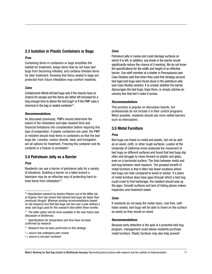#### 3.3 Isolation in Plastic Containers or Bags

#### *Pros*

Containing items in containers or bags simplifies the habitat for treatment, keeps items that do not have bed bugs from becoming infested, and contains infested items for later treatment. Knowing that items sealed in bags are protected from future infestation may comfort residents.

#### *Cons*

Containment efforts kill bed bugs only if the insects have no chance for escape and the items are either left enclosed for a long enough time to starve the bed bugs<sup>9</sup> or if the PMP uses a chemical in the bag or sealed container<sup>10</sup>.

#### *Recommendations*

As discussed previously, PMPs should determine the extent of the infestation and take resident time and financial limitations into consideration before requiring this type of preparation. If plastic containers are used, the PMP or resident should treat items in containers so that the bed bugs die. Laundry, carbon dioxide, heat, and fumigation are all options for treatment. Freezing the container and its contents in a freezer is unreliable $11$ .

#### 3.4 Petroleum Jelly as a Barrier

#### *Pros*

Residents can use a barrier of petroleum jelly for a variety of situations. Building a barrier on a table around a television may be an effective way of protecting hard-totreat items from infestation $12$ .

#### *Cons*

Petroleum jelly is messy and could damage surfaces on which it is left. In addition, any break in the barrier would significantly reduce the chance of it working. We do not know the specifications for the width and height of an effective barrier. One staff member at a shelter in Pennsylvania (see Case Studies) said that when they used this strategy (around bed legs) bed bugs were found stuck in the petroleum jelly (see Case Studies section). It is unclear whether the barrier discourages the bed bugs, traps them, or simply catches an unlucky few that don't make it across.

#### *Recommendations*

This practice is popular on discussion boards, but professionals do not include it in their control programs. When possible, residents should use more vetted barriers such as interceptors.

#### 3.5 Metal Furniture

#### *Pros*

Bed bugs can travel on metal and plastic, but not as well as on wood, cloth, or other rough surfaces. Loudon at the University of California-Irvine analyzed( the movement of bed bugs on different surfaces and found that bed bugs slip often and struggle to move forward on plastic and glass, even on a horizontal surface. The links between metal and bed bug behavior need research. The greatest benefit of metal furniture is that it often has fewer locations where bed bugs can hide compared to wood or wicker. If a piece of metal furniture does have gaps through which a bed bug could crawl to find harborage, the resident should seal up the gaps. Smooth surfaces and lack of hiding places makes inspection and treatment easier.

#### *Cons*

If residents do not keep the metal clean, rust-free, with holes sealed, bed bugs will be able to travel on the surface as easily as they would on wood.

#### *Recommendations*

Because early detection is the goal of a proactive bed bug program, management could advise residents purchase metal furniture. Plastic furniture may also help prevent

<sup>9‡</sup> *Unpublished research by Andrea Polanco out of the Miller lab at Virginia Tech has shown that starved bed bugs die faster than previously thought. Whereas existing recommendations (based on old research) tout that bed bugs can live over a year without a meal, bed bugs used for this research died within three months.* 10 *The latter option will be more available in the near future (see* 

*discussion of dichlorvos).* 11 *Specifications for temperature and time have not been* 

*confirmed by research.* 

<sup>12</sup> *Research has not been performed on this strategy.*

<sup>† =</sup> *source has undergone peer review*

<sup>‡ =</sup> *source is not peer reviewed*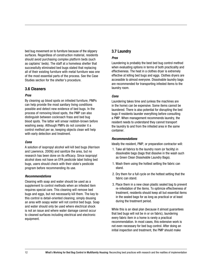bed bug movement on to furniture because of the slippery surfaces. Regardless of construction material, residents should avoid purchasing complex platform beds (such as captains' beds). The staff at a homeless shelter that successfully eliminated bed bugs stated that replacing all of their existing furniture with metal furniture was one of the most essential parts of the process. See the Case Studies section for the shelter's procedure.

#### 3.6 Cleaners

#### *Pros*

By cleaning up blood spots on infested furniture, PMPs can help provide the most sanitary living conditions possible and detect new evidence of bed bugs. In the process of removing blood spots, the PMP can also distinguish between cockroach frass and bed bug blood spots. The latter will smear reddish-brown before washing away. Although PMPs do not consider it a control method per se, keeping objects clean will help with early detection and treatment.

#### *Cons*

A solution of isopropyl alcohol will kill bed bugs (Harrison and Lawrence, 2009() and sanitize the area, but no research has been done on its efficacy. Since isopropyl alcohol does not have an EPA pesticide label listing bed bugs, users should check with their state's pesticide program before recommending its use.

#### *Recommendations*

Cleaning with soap and water should be used as a supplement to control methods when an infested item requires special care. This cleaning will remove bed bugs and eggs, but not necessarily kill them. The key to this control is detail-oriented cleaning; simply dousing an area with soapy water will not control bed bugs. Soap and water should only be used where electrical shock is not an issue and where water damage cannot occur to cleaned surfaces including electrical and electronic equipment.

#### 3.7 Laundry

#### *Pros*

Laundering is probably the best bed bug control method when evaluating options in terms of both practicality and effectiveness. The heat in a clothes dryer is extremely effective at killing bed bugs and eggs. Clothes dryers are accessible to almost everyone. Dissolvable laundry bags are recommended for transporting infested items to the laundry room.

#### *Cons*

Laundering takes time and (unless the machines are in the home) can be expensive. Some items cannot be laundered. There is also potential for disrupting the bed bugs if residents launder everything before consulting a PMP. When management recommends laundry, the resident needs to understand they cannot transport the laundry to and from the infested area in the same container.

#### *Recommendations*

Ideally the resident, PMP, or preparation contractor will:

- 1. Take all fabrics to the laundry room (or facility) in dissolvable bags (bags that dissolve in the wash such as Green Clean Dissolvable Laundry Bags).
- 1. Wash them using the hottest setting the fabric can stand.
- 2. Dry them for a full cycle on the hottest setting that the fabric can stand.
- 3. Place them in a new clean plastic sealed bag to prevent re-infestation of the items. To optimize effectiveness of treatment, residents should keep all but essential items in the sealed bags for as long as practical or at least during the treatment period.

While this is an ideal plan (because it almost guarantees that bed bugs will not be in or on fabric), laundering every fabric item in a home is rarely a practical recommendation. In most cases, this extensive work is not even necessary for bed bug control. After doing an initial inspection and treatment, the PMP should make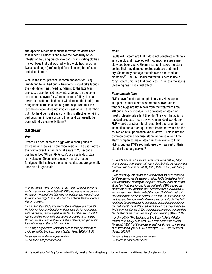site-specific recommendations for what residents need to launder<sup>13</sup>. Residents can avoid the possibility of reinfestation by using dissolvable bags, transporting clothes in cloth bags that get washed with the clothes, or using two sets of bags (preferably different colors) for infested and clean items<sup>14</sup>.

What is the most practical recommendation for using laundering to kill bed bugs? Residents should take fabrics the PMP determines need laundering to the facility in one bag, place items directly into a dryer, run the dryer on the hottest cycle for 30 minutes (or a full cycle at a lower heat setting if high heat will damage the fabric), and bring items home in a bed bug-free bag. Note that this recommendation does not involve washing and that fabric put into the dryer is already dry. This is effective for killing bed bugs, minimizes cost and time, and can usually be done with dry clean-only items<sup>15</sup>.

#### 3.8 Steam

#### *Pros*

Steam kills bed bugs and eggs with a short period of exposure and leaves no chemical residue. The user moves the nozzle over the bed bugs at a rate of 20 seconds per linear foot. Where PMPs can't use pesticides, steam is invaluable. Steam is less costly than dry heat or fumigation that achieve the same results, but are generally used on a larger scale.

#### *Cons*

Faults with steam are that it does not penetrate materials very deeply and if applied with too much pressure may blow bed bugs away. Steam treatment leaves moisture behind that may damage treated surfaces that must dry. Steam may damage materials and can conduct electricity<sup>16</sup>. One PMP indicated that it is best to use a "dry" steam unit (one that produces 5% or less moisture). Steaming has no residual effect.

#### *Recommendations*

PMPs have found that an upholstery nozzle wrapped in a piece of fabric diffuses the pressurized air so that bed bugs are not blown from the treatment area. Although lack of residual is a downside of steaming, most professionals admit they don't rely on the action of residual products much anyway. In an ideal world, the PMP would use steam to kill each bed bug seen during inspection and a thorough steam treatment would be the source of initial population knock down<sup>17</sup>. This is not the common practice because steaming takes a long time. Many companies make steam units available to their PMPs, but few PMPs routinely use them as part of their standard bed bug service<sup>18</sup>.

<sup>&</sup>lt;sup>13</sup> In the article, "The Business of Bed Bugs," Michael Potter re*ports on a survey conducted with PMPs from across the country. He asked, "Which of the following methods do you routinely use to control bed bugs?" and 86% had their clients launder clothes (Potter, 2008a*‡ *).*

<sup>14</sup>*One PMP alleviated some worry about infested laundromats. He believes lack of infestation at these sites (in his experience, with his clients) is due in part to the fact that they are so well lit and he applies insecticide dust to the underside of the tables. He does warn laundromat owners about allowing people to store bags of clothes in the facility overnight.* 

<sup>15</sup>*If using a dry cleaner, residents need to take precautions to avoid spreading bed bugs to the facility (Kells, 2006 b*‡ *& c*‡ *).*

<sup>† =</sup> *source has undergone peer review*

<sup>‡ =</sup> *source is not peer reviewed*

<sup>16</sup>*Experts advise PMPs steam items with low moisture, "dry" steam using a commercial unit and a floor/upholstery attachment (Harrison and Lawrence, 2009*‡ *; Kells, 2006 b*‡ *& c*‡ *; and Miller, 2009*‡ *).*

<sup>17</sup>*The only study with steam as a variable was not peer-reviewed, but the observed results were promising. PMPs treated one hotel with conventional techniques using dust material under the carpet at the floor/wall junction and in the wall voids. PMPs treated the mattresses per the pesticide label directions with a liquid residual and encased them. PMPs treated the second hotel with residual dust materials in the same fashion as the first, but they treated the mattress and box spring with steam instead of pesticide. The PMP monitored for recurrences. In both hotels, the bed bug population crashed after 60 days. Within 90 days, the company received callbacks from the first hotel. The second hotel remained controlled for the duration of the monitored time (12-plus months) (Meek, 2003*‡ *).*

<sup>18</sup>*In the article "The Business of Bed Bugs," Michael Potter reports on a survey done with PMPs from across the country. He asked, "Which of the following methods do you routinely use to control bed bugs?" Of PMPs surveyed, 25% used steamers (Potter, 2008a*‡ *).* 

<sup>† =</sup> *source has undergone peer review*

<sup>‡ =</sup> *source is not peer reviewed*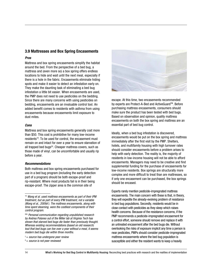#### 3.9 Mattresses and Box Spring Encasements

#### *Pros*

Mattress and box spring encasements simplify the habitat around the bed. From the perspective of a bed bug, a mattress and (even more so) a box spring offers endless locations to hide and wait until the next meal, especially if there is a hole in the fabric. Encasements eliminate hiding spots and make it easier to detect an infestation early on. They make the daunting task of eliminating a bed bug infestation a little bit easier. When encasements are used, the PMP does not need to use pesticides on the bedding. Since there are many concerns with using pesticides on bedding, encasements are an invaluable control tool. An added benefit comes to residents with asthma from using encasements because encasements limit exposure to dust mites.

#### *Cons*

Mattress and box spring encasements generally cost more than \$50. This cost is prohibitive for many low-income residents<sup>19</sup>. To be used for control, the encasement must remain on and intact for over a year to ensure starvation of all trapped bed bugs<sup>20</sup>. Cheaper mattress covers, such as those made of vinyl, can be uncomfortable and usually rip before a year.

#### *Recommendations*

Both mattress and box spring encasements purchased for use in a bed bug program (including the early detection part of a program) should be both escape-proof and rip-resistant. Where most products fail is in their being escape-proof. The zipper area is the common site of



escape. At this time, two encasements recommended by experts are Protect-A-Bed and ActiveGuard™. Before purchasing mattress encasements, consumers should make sure the product has been tested with bed bugs. Based on observation and opinion, quality mattress encasements on both the box spring and mattress are an essential part of bed bug control.

Ideally, when a bed bug infestation is discovered, encasements would be put on the box spring and mattress immediately after the first visit by the PMP. Shelters, hotels, and multifamily housing with high turnover rates should consider encasements before a problem arises to help with early detection. The reality is, the majority of residents in low-income housing will not be able to afford encasements. Managers may need to be creative and find supplemental funding for the purchase of encasements for low-income residents. Box springs are structurally more complex and more difficult to treat than are mattresses, so if only one encasement can be purchased, the box springs should be encased.

Experts rarely mention pesticide-impregnated mattress encasements. The main concern with these is that, in theory, they will expedite the already-evolving problem of resistance in bed bug populations. Secondly, residents would be in close contact with pesticides as they sleep which raises health concerns. Because of the resistance concerns, if the PMP recommends a pesticide-impregnated encasement for a control effort, someone should remove and replace it with an untreated encasement after the bed bugs die. Without overlooking the risks of exposure implicit any time a person is near pesticides, PMPs should consider pesticide-impregnated mattress encasements where the bed bug population is susceptible and either the resident wants to keep a heavily

<sup>19</sup>*Wang et al. used mattress encasements as part of their IPM treatment, but as part of every IPM treatment, not a variable (Wang et al., 2009a*† *). The mattress encasements, along with time spent steaming, were the costliest components of their control program.* 

<sup>20‡</sup> *Personal communication regarding unpublished research by Andrea Polaneo out of the Miller lab at Virginia Tech has shown that starved bed bugs die faster than previously thought. Whereas existing recommendations (based on old research) tout that bed bugs can live over a year without a meal, it seems modern bed bugs die within three months.*

<sup>† =</sup> *source has undergone peer review*

<sup>‡ =</sup> *source is not peer reviewed*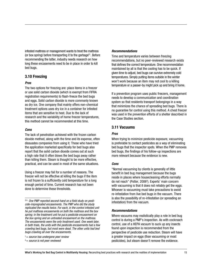infested mattress or management wants to treat the mattress (or box spring) before transporting it to the garbage<sup>21</sup>. Before recommending the latter, industry needs research on how long these encasements need to be in place in order to kill bed bugs.

#### 3.10 Freezing

#### *Pros*

The two options for freezing are: place items in a freezer or use solid carbon dioxide (which is exempt from FIFRA registration requirements) to flash-freeze the bed bugs and eggs. Solid carbon dioxide is more commonly known as dry ice. One company that mainly offers non-chemical treatment options uses dry ice in a container for infested items that are sensitive to heat. Due to the lack of research and the variability of home freezer temperatures, this method cannot be recommended at this time.

#### *Cons*

The lack of penetration achieved with the frozen carbon dioxide method, along with the time and its expense, often dissuades companies from using it. Those who have tried the application marketed specifically for bed bugs also report that the solid carbon dioxide comes out at such a high rate that it often blows the bed bugs away rather than killing them. Steam is thought to be more effective, practical, and can be used in most of the same situations.

Using a freezer may fail for a number of reasons. The freezer will not be effective at killing the bugs if the item is not frozen to a sufficiently cold temperature for a long enough period of time. Current research has not been done to determine these thresholds.

<sup>21‡</sup> *One PMP reported second-hand on a field study on pesticide-impregnated encasements. The PMP who did the study replicated the results twice. For each, in the control infested unit he put mattress encasements on both the mattress and the box spring; in the treatment unit he put a pesticide encasement on the box spring and an untreated encasement on the mattress. The encasements were the only treatment used. One week later, in both trials, the units with the pesticide encasements had a few crawling bed bugs, but most were dead. The other units had bed bugs crawling all over the encasements.* 



‡ = *source is not peer reviewed*

#### *Recommendations*

Time and temperature varies between freezing recommendations, but no peer-reviewed research exists that defines the correct temperature. One recommendation maintained by all is that the cooling has to be quick. If given time to adjust, bed bugs can survive extremely cold temperatures. Simply putting items outside in the winter won't work because an item may not cool to a killing temperature or a passer-by might pick up and bring it home.

If a prevention program uses public freezers, management needs to develop a communication and coordination system so that residents transport belongings in a way that minimizes the chance of spreading bed bugs. There is no guarantee for control using this method. A chest freezer was used in the prevention efforts of a shelter described in the Case Studies section.

#### 3.11 Vacuums

#### *Pros*

When trying to minimize pesticide exposure, vacuuming is preferable to contact pesticides as a way of eliminating bed bugs that the inspector spots. When the PMP removes bed bugs, the findings of his follow-up inspections are more relevant because the evidence is new.

#### *Cons*

"Normal vacuuming by clients is generally of little benefit in bed bug management because the bugs reside in places where housecleaning efforts normally do not reach" (Potter, 2006‡ ). Experts' main concern with vacuuming is that it does not reliably get the eggs. Whoever is vacuuming must take precautions to avoid re-infestation from live bed bugs in the vacuum. There is also the possibility of re-infestation (or spreading an infestation) from the vacuum.

#### *Recommendations*

Where vacuums may realistically play a role in bed bug control is during a PMP's inspection. As with cockroach control, use of a HEPA vacuum to suck up any insects found upon inspection is recommended from the perspective of pesticide use reduction. Steam will have a greater impact on eggs (than vacuuming or most pesticides), but steam doesn't remove the evidence.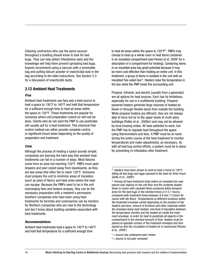Cleaning contractors who use the same vacuum throughout a building should know to look for bed bugs. They can help detect infestations early and the knowledge will help them prevent spreading bed bugs. Experts recommend using a vacuum with a removable bag and putting talcum powder or insecticidal dust in the bag according to the label instructions. See Section 5.3 for a discussion of insecticidal dusts.

#### 3.12 Ambient Heat Treatments

#### *Pros*

Ambient heat treatments use fans and a heat source to heat a space to 130°F to 140°F and hold that temperature for a sufficient enough time to heat all areas within the space to 120°F. These treatments are popular for scenarios where unit preparation cannot (or will not) be done. Clients who do not want the PMP to use pesticides will usually opt for a heat treatment. This chemical-free control method can either provide complete control, or significant knock down depending on the quality of preparation and treatment.

#### *Cons*

Although the process of heating a space sounds simple, companies are learning the hard way that ambient heat treatments can fail in a number of ways. Most failures come from an area not reaching 120°F. PMPs must open drawers and peel carpet away from baseboards, as they are two areas that often fail to reach 120°F. Someone must prepare the unit to minimize areas of insulation (such as piles of fabric) and heat sinks where the heat can escape. Because the PMPs need to be in the unit rearranging fans and heaters anyway, they can do the necessary preparation with a resident's permission. Southern companies who have been using heat treatments for termites and cockroaches can be mentors for Northern companies who are new to the technology and don't know about building variables associated with heat treatments.

#### *Recommendations*

Ambient heat treatments heat a space to 130°F to 140°F and hold that temperature for a sufficient enough time

to heat all areas within the space to  $120^{\circ}F^{22}$ . PMPs may choose to heat up a whole room or heat items contained in an insulated compartment (see Pereira et al. 2009† for a description of a compartment for heating). Containing items in an insulated area has great potential because it may be more cost effective than heating an entire unit. In this treatment, a group of items is isolated in the unit with an insulated five-sided box $23$ . Heaters raise the temperature in the box while the PMP treats the surrounding unit.

Propane, infrared, and electric (usually from a generator) are all options for heat sources. Each has its limitations, especially for use in a multifamily building. Propanepowered heaters generate large volumes of heated air blown in through flexible ducts from outside the building. While propane heaters are efficient, they are not always able to force hot air to the upper levels of multi-story buildings (Potter et al., 2008a‡ ) and may not be allowed by local housing codes. All have potential to work, but the PMP has to regulate heat throughout the space using thermometers and fans. A PMP must be on hand during the entire course of the heat treatment to monitor temperatures and make adjustments, as necessary. As with all bed bug control efforts, a system must be in place for preventing re-infestation after treatment.

<sup>22</sup>*Heaters have been shown to work to heat a home to 130°F, killing all bed bugs and eggs exposed to the heat for three hours (Getty et al., 2008*‡ *).*

<sup>23</sup>*Among all heat-treatment trials where an insulated box was placed over objects on the unit floor and the contents heated, those in rooms with carpeted floors produced lethal temperatures for the bed bugs in the shortest times (2.4-3.1 hours), compared with treatment times between 4.9 and 7.3 hours for rooms with tile floors. Temperatures at different locations within the treatment envelope varied depending on the position of the heaters and fans, amount of furniture and other materials within the envelope being heat-treated, and level of insulation between the temperature monitor and the heated air inside the treatment envelope. In order for heat to penetrate all objects in the compartment in the shortest amount of time, heaters must be placed at opposite corners of the treatment envelope and fans placed so that the circulation of heated air is maximized (Pereira et al., 2009*† *).*

<sup>† =</sup> *source has undergone peer review*

<sup>‡ =</sup> *source is not peer reviewed*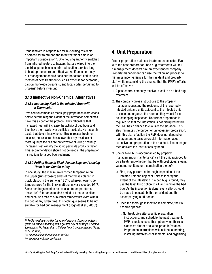If the landlord is responsible for re-housing residents displaced for treatment, the total treatment time is an  $im$  important consideration<sup>24</sup>. One housing authority switched from infrared heaters to heaters that are wired into the electrical panel because infrared heating took too long to heat up the entire unit. Heat works, if done correctly, but management should consider the factors tied to each method of heat treatment (such as expense for personnel, carbon monoxide poisoning, and local codes pertaining to propane) before investing.

#### 3.13 Ineffective Non-Chemical Alternatives

#### *3.13.1 Increasing Heat in the Infested Area with a Thermostat*

Pest control companies that supply preparation instructions before determining the extent of the infestation sometimes have this as part of the protocol. They rationalize that increased heat will increase the activity of bed bugs and thus have them walk over pesticide residuals. No research exists that determines whether this increases treatment success, but research has shown that dry residuals of most liquid pesticides are not effective at killing bed bugs. Increased heat will dry the liquid pesticide products faster. This recommendation should not be used in the preparation instructions for a bed bug treatment.

#### *3.13.2 Putting Items in Black Plastic Bags and Leaving Them in the Sun for a Day*

In one study, the maximum-recorded temperature on the upper (sun-exposed) sides of mattresses placed in black plastic in the sun was 185°F, whereas lower side temperatures for the thick mattress never exceeded 95°F. Since bed bugs need to be exposed to temperatures above 100°F for an extended period of time to be killed, and because areas of sub-lethal temperature exist within the bed at any given time, this technique seems to be not suitable for bed bug management (Doggett et al., 2006† ).

### 4. Unit Preparation

Proper preparation makes a treatment successful. Even with the best preparation, bed bug treatments will fail if management doesn't hire an experienced company. Property management can use the following process to minimize inconvenience for the resident and property staff while maximizing the chance that the PMP's efforts will be effective:

- 1. A pest control company receives a call to do a bed bug treatment.
- 2. The company gives instructions to the property manager requesting the residents of the reportedly infested unit and units adjacent to the infested unit to clean and organize the room as they would for a housekeeping inspection. No further preparation is required so that the infestation is not disrupted before the PMP has a chance to evaluate the situation. This also minimizes the burden of unnecessary preparation. With this plan of action the PMP does not depend on management to pass on crucial information about extensive unit preparation to the resident. The manager then delivers the instructions by hand.
- 3. One or two PMPs (accompanied by property management or maintenance) visit the unit equipped to do a treatment (whether that be with pesticides, steam, vacuum, monitors, or a combination thereof).
	- a. First, they perform a thorough inspection of the infested unit and adjacent units to identify the extent of the infestation. If a bed bug is found, they use the least toxic option to kill and remove the bed bug. As the inspection is done, every effort should be made to educate both the resident and the accompanying staff person.
	- b. Once the thorough inspection is complete, the PMP has two options:
		- i. Not treat, give site-specific preparation instructions, and schedule the next treatment. PMPs should choose this option when there is extensive clutter or a widespread infestation. Preparation instructions will include laundering, installing mattress encasements, and organizing

<sup>24</sup>*PMPs need to consider the rate of heating since some items (such as wood laminates) run a greater risk of damage if heated too quickly. No faster than 15°F per hour is recommended (Potter et al., 2008a*‡ *).*

<sup>† =</sup> *source has undergone peer review*

<sup>‡ =</sup> *source is not peer reviewed*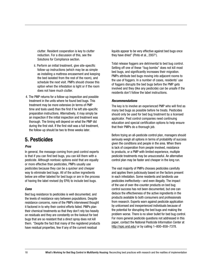clutter. Resident cooperation is key to clutter reduction. For a discussion of this, see the Solutions for Compliance section.

- ii. Perform an initial treatment, give site-specific follow-up instructions (which may be as simple as installing a mattress encasement and keeping the bed isolated from the rest of the room), and schedule the next visit. PMPs should choose this option when the infestation is light or if the room does not have much clutter.
- 4. The PMP returns for a follow-up inspection and possible treatment in the units where he found bed bugs. This treatment may be more extensive (in terms of PMP time and tools used) than the first if he left site-specific preparation instructions. Alternatively, it may simply be an inspection if the initial inspection and treatment was thorough. The timing will depend on what the PMP did during the first visit. If the first visit was a full treatment, the follow-up should be two to three weeks later.

### 5. Pesticides

#### *Pros*

In general, the message coming from pest control experts is that if you can find bed bugs, you can kill them with a pesticide. Although nontoxic options exist that are equally or more effective than pesticides, PMPs usually use pesticides because they can be a quicker and cheaper way to eliminate bed bugs. All of the active ingredients below are either labeled for bed bugs or are in the process of having the label revised (by EPA) to include bed bugs.

#### *Cons*

Bed bug resistance to pesticides is well documented, and the levels of resistance vary between populations. Despite resistance concerns, none of the PMPs interviewed thought it factored in to why their control efforts failed. PMPs plan their chemical treatments so that they don't rely too heavily on residuals and they are constantly on the lookout for bed bugs that are so resistant that a direct spray does not kill them. "Despite the fact that many of the registered products have residual properties, few if any of the current residual

liquids appear to be very effective against bed bugs once they have dried" (Pinto et al., 2007† ).

Total release foggers are detrimental to bed bug control. Setting off one of these "bug bombs" does not kill most bed bugs, and significantly increases their migration. PMPs attribute bed bugs moving into adjacent rooms to the use of foggers. In a number of cases, residents' use of foggers disrupts the bed bugs before the PMP gets involved and they (like any pesticide) can be unsafe if the residents don't follow the label instructions.

#### *Recommendations*

The key is to involve an experienced PMP who will find as many bed bugs as possible before he treats. Pesticides should only be used for bed bug treatment by a licensed applicator. Pest control companies need continuing education and special certification options to help ensure that their PMPs do a thorough job.

Before trying an all-pesticide control plan, managers should seriously weigh all options in terms of probability of success given the conditions and people in the area. When there is lack of cooperation from people involved, resistance to products, or a PMP with limited experience, multiple pesticide treatments may be unsuccessful. An alternative control plan may be faster and cheaper in the long run.

The vast majority of PMPs chooses pesticides carefully and applies them judiciously based on the factors present in each infestation. Some residents and landlords use pesticides ineffectively—and even illegally. The impact of the use of over-the-counter products on bed bug control success has not been documented, but one can deduce the effectiveness of the active ingredients in the products available to both consumers and professionals from research. Experts warn against pesticide application by unlicensed and inexperienced individuals because of the potential for disrupting the bed bugs and making the problem worse. There is no silver bullet for bed bug control. For more general pesticide questions not addressed in this paper, contact the National Pesticide Information Center at http://npic.orst.edu/ or by calling 1-800-858-7378.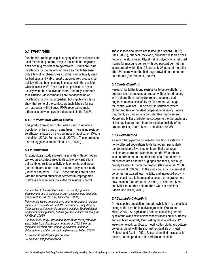#### 5.1 Pyrethroids

Pyrethroids are the principal category of chemical pesticides used for bed bug control, despite research that regularly finds bed bug resistance to pyrethroids $25$ . PMPs are using pyrethroids for the majority of their treatments because only a few other chemistries exist that can be legally used for bed bugs and PMPs report that pyrethroid products do quickly kill bed bugs coming in contact with the pesticide while it is still wet<sup>26</sup>. Once the liquid pesticide is dry, it usually won't be effective for control and may contribute to resistance. Most companies are not depending on pyrethroids for ovicidal properties, but unpublished tests show that some of the contact products labeled for use on mattresses will kill eggs. PMPs reported no major differences between pyrethroid products in the field $^{27}$ .

#### *5.1.1 D-Phenothrin with an Alcohol*

This product provided control when used to reduce a population of bed bugs on a mattress. There is no residue, so efficacy is based on thoroughness of application (Moore and Miller, 2008† , Romero et al., 2007b‡ ). These products also kill eggs on contact (Pinto et al., 2007† ).

#### *5.1.2 Permethrin*

An agricultural study showed insecticide with permethrin worked as a contact insecticide at low concentrations but exhibited residual activity only on metal and wood (not cardboard, cotton cloth, or cotton-polyester blend) (Fletcher and Axtell, 1993† ). These findings are at odds with the reported efficacy of permethrin-impregnated mattress encasements marketed for residual control.

These insecticidal liners are tested (see Ballard, 2008‡ ; Snell, 2008‡ ), but peer-reviewed, published research does not exist. A study using Olyset net (a polyethylene net used mainly for mosquito control with two percent permethrin incorporated within fibers) found only 25 percent mortality after 24 hours when the bed bugs crawled on the net for 30 minutes (Sharma et al., 2006† ).

#### *5.1.3 Beta-Cyfluthrin*

Research by Miller found resistance to beta-cyfluthrin, but the researchers used a product with cyfluthrin along with deltamethrin and hydroprene to reduce a bed bug infestation successfully by 95 percent. Although the control was not 100 percent, in situations where clutter and lack of resident cooperation severely hinders treatment, 95 percent is a considerable improvement. Moore and Miller attribute the success to the thoroughness of the applicators more than the residual toxicity of the product (Miller, 2009<sup>‡</sup>; Moore and Miller, 2008<sup>†</sup>).

#### *5.1.4 Deltamethrin*

As with other pyrethroids, researchers find resistance in field-collected populations to deltamethrin, particularly the dry residues. Two studies found that bed bugs avoided areas treated with deltamethrin. When there was an attractant on the other side of a treated strip or the treated area had bed bug eggs and feces, bed bugs readily traveled through the product (Haynes et al., 2008<sup>‡</sup>; Romero et al., 2009a† ). In the study done by Romero et al., deltamethrin caused low mortality and increased activity, which could lead to increased exposure or migration to a new location (Romero et al., 2009a† ). In contrast, Moore and Miller found that deltamethrin was not repellant (Moore and Miller, 2006† ).

#### *5.1.5 Lambda-Cyhalothrin*

On susceptible populations lambda-cyhalothrin is the fastest acting of the pyrethroid active ingredients (Moore and Miller, 2006† ). An agricultural product containing lambdacyhalothrin was active at low concentrations on all surfaces and exhibited relatively long-lasting residual activity (12 weeks) on wood, cardboard, metal, cotton cloth, and cottonpolyester blend, with the shortest residual life on metal (Fletcher and Axtell, 1993† ). Researchers find resistance in the lab, but the products still perform in the field.

<sup>25</sup>*In addition to the usual process of resistant population development due to selection, cross-resistance may be at play (Romero et al., 2007a*† *& b*‡ *; Yoon et al., 2008*† *).*

<sup>26</sup>*Pyrethroid-based products gave good (>60 percent) residual control, but mortality was not 100 percent in a study done by Todd. No contact pyrethroid products tested by Todd exhibited significant flushing action, but did give fair knockdown and good kill (Todd, 2006*‡ *).*

<sup>27</sup>*In their 2006 study, Moore and Miller found that pyrethroids work faster than chlorfenapyr. In terms of LT50, the order (fastest to slowest) was: lambda-cyhalothrin, bifenthrin, deltamethrin, and then permethrin (Moore and Miller, 2006*† *).*

<sup>† =</sup> *source has undergone peer review*

<sup>‡ =</sup> *source is not peer reviewed*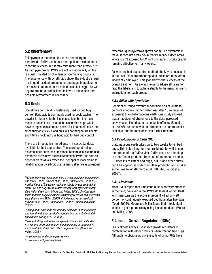#### 5.2 Chlorfenapyr

This pyrrole is the main alternative chemistry to pyrethroids. PMPs use it as a nonrepellant residual and are reporting success, but it may take more than a week $28,29,30$ . As with pyrethroids, PMPs are not relying heavily on the residual provided by chlorfenapyr-containing products. The experience with pyrethroids shook the industry's trust in all liquid residual products for bed bugs. In addition to its residual potential, this pesticide also kills eggs. As with any treatment, a professional follow-up inspection and possible retreatment is necessary.

#### 5.3 Dusts

Sometimes boric acid is mistakenly used for bed bug control. Boric acid is commonly used for cockroaches. The powder is abrasive to the insect's cuticle, but the main mode of action is as a stomach poison. Bed bugs would have to ingest this stomach poison for it to be effective, and since they only suck blood, this will not happen. Residents and PMPs should not use boric acid for bed bug control.

There are three active ingredients in insecticidal dusts available for bed bug control. These are pyrethroids, diatomaceous earth, and limestone. Diatomaceous earth and pyrethroid dusts have the best reputation. PMPs use both as dependable residuals. When the user applies it according to label directions pyrethroid dust remains effective as a residual (whereas liquid pyrethroid sprays don't). The pyrethroid in the dust does not break down readily in dark hidden areas where it isn't exposed to UV light or cleaning products and remains effective for many weeks.

As with any bed bug control method, the key to success is in the user. Of all treatment options, dusts are most often incorrectly employed. This jeopardizes the success of the overall treatment. As always, experts advise all users to read the labels and to adhere strictly to the manufacturer's instructions for each product.

#### *5.3.1 Silica with Pyrethrins*

Benoit et al. found pyrethroid-containing silica dusts to be more effective (higher water loss after 10 minutes of exposure) than diatomaceous earth. One study showed that an addition of pheromone to the dust increased activity over silica dust, enhancing its efficacy (Benoit et al., 2009† ). No dusts with an attractant are commercially available, but the topic deserves further research.

#### *5.3.2 Diatomaceous Earth (DE)*

Diatomaceous earth takes up to two weeks to kill bed bugs. This is too long for most residents to wait to see the effects of the PMP's visit. PMPs use it as a backup to other faster products. Because of its mode of action, DE does kill resistant bed bugs, but it (and other dusts) can't be applied as widely as other products, and it takes some time to kill (Romero et al., 2007b<sup>‡</sup>; Benoit et al., 2009† ).

#### *5.3.3 Limestone*

Most PMPs report that limestone dust is not very effective in the field; however, a few PMPs do think it works. Dust with limestone as the active ingredient killed only 20 percent of continuously exposed bed bugs after five days (Todd, 2006‡ ). Moore and Miller found that it took eight weeks to get high mortality using limestone dusts (Moore and Miller, 2008† ).

#### 5.4 Insect Growth Regulators (IGRs)

PMPs almost always use insect growth regulators in combination with other products when treating bed bugs. Although no obvious positive results of using IGRs have

<sup>28</sup>*Chlorfenapyr can take more than a week to kill bed bugs (Moore and Miller, 2006*† *; Haynes et al., 2008*‡ *; Romero et al., 2007b*‡ *) making it one of the slower-acting products. In one contrasting study, live bed bugs were treated directly with liquid and many died within three days (Moore and Miller, 2008*† *). Another study found that bed bugs exposed to chlorfenapyr mated and laid viable eggs (Moore and Miller, 2006*† *). Chlorfenapyr is not repellant (Haynes et al., 2008*‡ *; Romero et al., 2009a*† *; Moore and Miller, 2006*† *).* 

<sup>29</sup>*Wang et al. used it as the primary pesticide in an IPM study and found that it successfully reduced (but did not eliminate) populations (Wang et al., 2009a*† *).*

<sup>30</sup>*Using it along with other non-pyrethroids as the pesticides in a control effort may require the application of more active ingredient than if the PMP relied on pyrethroids (Moore and Miller, 2008*† *).*

<sup>† =</sup> *source has undergone peer review*

<sup>‡ =</sup> *source is not peer reviewed*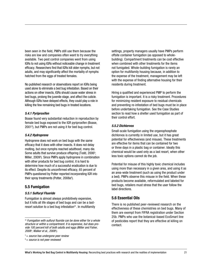been seen in the field, PMPs still use them because the risks are low and companies often want to try everything available. Two pest control companies went from using IGRs to not using IGRs without noticeable change in treatment efficacy. Researchers find that IGRs kill older nymphs, but not adults, and may significantly affect the mortality of nymphs hatched from the eggs of treated females.

No published research or observations report on IGRs being used alone to eliminate a bed bug infestation. Based on their actions on other insects, IGRs should cause water stress in bed bugs, prolong the juvenile stage, and affect the cuticle. Although IGRs have delayed effects, they could play a role in killing the few remaining bed bugs in treated locations.

#### *5.4.1 Pyriproxifen*

Boase found very substantial reduction in reproduction by female bed bugs exposed to the IGR pyriproxifen (Boase, 2001‡ ), but PMPs are not using it for bed bug control.

#### *5.4.2 Hydroprene*

Hydroprene does not work on bed bugs with the same efficacy that it does with other insects. It does not delay molting, but once nymphs reached adulthood, many die. Some adults that survive produce offspring (Todd, 2006<sup>‡</sup>; Miller, 2009‡ ). Since PMPs apply hydroprene in combination with other products for bed bug control, it is hard to determine how much of a successful eradication is due to its effect. Despite its unconfirmed efficacy, 65 percent of PMPs questioned by Potter reported incorporating IGR into their spray treatments (Potter, 2008a<sup>‡</sup>).

#### 5.5 Fumigation

#### *5.5.1 Sulfuryl Fluoride*

Fumigation is almost always prohibitively expensive, but it kills all life stages of bed bugs and can be a lastresort solution to a bed bug infestation $31$ . In multifamily settings, property managers usually have PMPs perform offsite container fumigation (as opposed to wholebuilding). Compartment treatments can be cost effective when combined with other treatments for the items not fumigated. Whole-building fumigation is rarely an option for multifamily housing because, in addition to the expense of the treatment, management may be left with the expense of finding alternative housing for their residents during treatment.

Hiring a qualified and experienced PMP to perform the fumigation is important. It is a risky treatment. Procedures for minimizing resident exposure to residual chemicals and preventing re-infestation of bed bugs must be in place before undertaking fumigation. See the Case Studies section to read how a shelter used fumigation as part of their control effort.

#### *5.5.2 Dichlorvos*

Small-scale fumigation using the organophosphate dichlorvos is currently in limited use, but it has great potential for effectiveness (and misuse). These treatments are effective for items that can be contained for two or three days in a plastic bag or container. Ideally this chemical would be used only as a last resort, when other less toxic options cannot do the job.

Potential for misuse of this highly toxic chemical includes using more than necessary in a given area, and using it as an area-wide treatment (such as using the product under a bed). PMPs observe this misuse in the field. When these products become available, reformulated and labeled for bed bugs, retailers must stress that the user follow the label directions.

#### 5.6 Essential Oils

There is no published peer-reviewed research on the effectiveness of these chemistries on bed bugs. Many of them are exempt from FIFRA registration under Section 25b. PMPs who use the botanical-based EcoSmart line of pesticides report that they are effective at killing on contact.

<sup>31</sup>*Fumigation with sulfuryl fluoride can be done either for a whole structure or within a compartment. It is expensive, but does provide 100 percent kill of both adults and eggs (Miller and Fisher, 2008*‡ *; Walker et al., 2008*‡ *).*

<sup>† =</sup> *source has undergone peer review*

<sup>‡ =</sup> *source is not peer reviewed*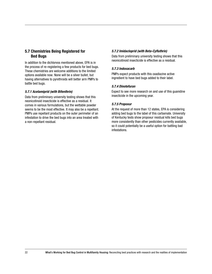#### 5.7 Chemistries Being Registered for Bed Bugs

In addition to the dichlorvos mentioned above, EPA is in the process of re-registering a few products for bed bugs. These chemistries are welcome additions to the limited options available now. None will be a silver bullet, but having alternatives to pyrethroids will better arm PMPs to battle bed bugs.

#### *5.7.1 Acetamiprid (with Bifenthrin)*

Data from preliminary university testing shows that this neonicotinoid insecticide is effective as a residual. It comes in various formulations, but the wettable powder seems to be the most effective. It may also be a repellant. PMPs use repellant products on the outer perimeter of an infestation to drive the bed bugs into an area treated with a non-repellant residual.

#### *5.7.2 Imidacloprid (with Beta-Cyfluthrin)*

Data from preliminary university testing shows that this neonicotinoid insecticide is effective as a residual.

#### *5.7.3 Indoxacarb*

PMPs expect products with this oxadiazine active ingredient to have bed bugs added to their label.

#### *5.7.4 Dinotefuran*

Expect to see more research on and use of this guanidine insecticide in the upcoming year.

#### *5.7.5 Propoxur*

At the request of more than 12 states, EPA is considering adding bed bugs to the label of this carbamate. University of Kentucky tests show propoxur residual kills bed bugs more consistently than other pesticides currently available, so it could potentially be a useful option for battling bad infestations.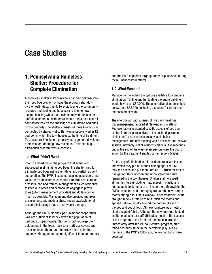## Case Studies

### 1. Pennsylvania Homeless Shelter: Procedure for Complete Elimination

A homeless shelter in Pennsylvania had two options-solve their bed bug problem or have the program shut down by the health department. To avoid losing the community resource and having bed bugs spread to other lowincome housing when the residents moved, the shelter staff (in cooperation with the residents and a pest control contractor) took on the challenge of eliminating bed bugs on the property. The shelter consists of three townhouses connected by shared walls. Thirty-nine people lived in 12 bedrooms within the townhouses at the time of treatment. To prevent re-infestation, property management developed protocols for admitting new residents. Their bed bug elimination program was successful.

#### 1.1 What Didn't Work

Prior to embarking on the program that eventually succeeded in eliminating bed bugs, the shelter tried to eliminate bed bugs using their PMPs and partial resident cooperation. The PMPs inspected, applied pesticides, and vacuumed and steamed each unit's mattresses, curtains, dressers, and bed frames. Management asked residents to keep all clothes and personal belongings in plastic totes (which management provided) and do laundry as much as possible. Management also provided mattress encasements and made a chest freezer available for all resident belongings that a dryer would damage.

Although the PMPs did their part, resident cooperation was not sufficient to knock down the population of bed bugs property-wide. Residents did not keep their belongings in the totes, they tore mattress covers and never replaced them, and the freezer had a limited capacity. Management spent significant time and money and the PMP applied a large quantity of pesticides during these unsuccessful efforts.

#### 1.2 What Worked

Management weighed the options available for complete elimination. Tenting and fumigating the entire building would have cost \$80,000. The alternative plan, described below, cost \$32,000 (including expenses for all control methods employed).

The effort began with a series of five daily meetings that management required all 39 residents to attend. Representatives presented specific aspects of bed bug control from the perspectives of the health department, shelter staff, pest control company, and shelter management. The fifth meeting was a question-and-answer session. Inevitably, not all residents made all five meetings, but by the end of the week every person knew the plan of action for the treatment and his or her responsibilities.

On the day of elimination, all residents received boxes into which they put all of their belongings. The PMP took the boxes and put them into an 18' truck for offsite fumigation. Only wooden and upholstered furniture remained in the townhouses. Shelter staff wrapped all the furniture (including mattresses) in plastic and immediately took items to an incinerator. Meanwhile, the PMPs inspected and thoroughly treated the now-empty rooms during a four-hour window. After treatment, staff brought in new furniture to re-furnish the rooms and applied petroleum jelly around the bottom of each of the bed and couch legs. All new furniture was metal or plastic-coated fabric. Although the new furniture looked institutional, shelter staff attributes much of the success of the program to the furniture's metal construction. Immediately after the 24-hour control program, staff found bed bugs stuck in the petroleum jelly, but by the time of the PMP's follow-up, no live bed bugs were detected.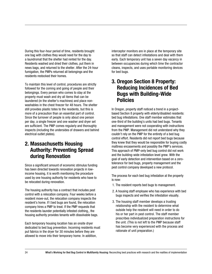During this four-hour period of time, residents brought one bag with clothes they would need for the day to a laundromat that the shelter had rented for the day. Residents washed and dried their clothes, put them in news bags, and returned to the shelter. After the 24-hour fumigation, the PMPs returned all belongings and the residents restocked their homes.

To maintain this level of control, procedures are strictly followed for the coming and going of people and their belongings. Every person who comes to stay at the property must wash and dry all items that can be laundered (in the shelter's machines) and place nonwashables in the chest freezer for 48 hours. The shelter still provides plastic totes to the residents, but this is more of a precaution than an essential part of control. Since the turnover of people is only about one person per day, a single freezer and one washer and dryer set are sufficient. The PMP comes regularly and thoroughly inspects (including the undersides of drawers and behind electrical outlet plates).

### 2. Massachusetts Housing Authority: Preventing Spread during Renovation

Since a significant amount of economic stimulus funding has been directed towards renovation projects in lowincome housing, it is worth mentioning the procedure used by one housing authority for residents who have to be relocated during renovation.

The housing authority has a contract that includes pest control with a relocation company. Four weeks before a resident move-out, the relocation company inspects the resident's home. If t bed bugs are found, the relocation company hires a PMP to treat. If the PMP requests that the residents launder potentially infested clothing,, the housing authority provides tenants with dissolvable bags.

Each temporary housing location has an onsite dryer dedicated to bed bug prevention. Incoming residents must put fabrics in the dryer for 30 minutes before they are allowed to move into their temporary home. In addition,

interceptor monitors are in place at the temporary site so that staff can detect infestations and deal with them early. Each temporary unit has a seven day vacancy in between occupancies during which time the contractor cleans, inspects, and uses portable monitoring devices for bed bugs.

### 3. Oregon Section 8 Property: Reducing Incidences of Bed Bugs with Building-Wide Policies

In Oregon, property staff noticed a trend in a projectbased Section 8 property with elderly/disabled residents: bed bug infestations. One staff member estimates that one-third of the building's units had bed bugs. Tenants and management were not cooperating with instructions from the PMP. Management did not understand why they couldn't rely on the PMP for the entirety of a bed bug control effort. Residents did not report bed bugs because they knew that they would be responsible for buying costly mattress encasements and possibly the PMP's services. This approach of PMP-only bed bug control did not work and the building-wide infestation level grew. With the goal of early detection and intervention based on a zerotolerance for bed bugs, property management and the pest control company developed a new protocol.

The process for each bed bug infestation at the property is now:

- 1. The resident reports bed bugs to management.
- 2. A housing staff employee who has experience with bed bugs inspects and verifies the infestation visually.
- 3. The housing staff member develops a trusting relationship with the resident to determine what outside help the resident will need in order to do his or her part in pest control. The staff member prescribes individualized preparation instructions for the unit. (This is not left to the PMP because staff has become very experienced with the process and rationale of unit preparation.)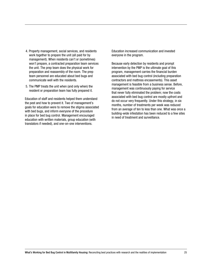- 4. Property management, social services, and residents work together to prepare the unit (all paid for by management). When residents can't or (sometimes) won't prepare, a contracted preparation team services the unit. The prep team does the physical work for preparation and reassembly of the room. The prep team personnel are educated about bed bugs and communicate well with the residents.
- 5. The PMP treats the unit when (and only when) the resident or preparation team has fully prepared it.

Education of staff and residents helped them understand the pest and how to prevent it. Two of management's goals for education were to remove the stigma associated with bed bugs, and inform everyone of the procedure in place for bed bug control. Management encouraged education with written materials, group education (with translators if needed), and one-on-one interventions.

Education increased communication and invested everyone in the program.

Because early detection by residents and prompt intervention by the PMP is the ultimate goal of this program, management carries the financial burden associated with bed bug control (including preparation contractors and mattress encasements). This asset management is feasible from a business sense. Before, management was continuously paying for service that never fully eliminated the problem; now the costs associated with bed bug control are mostly upfront and do not occur very frequently. Under this strategy, in six months, number of treatments per week was reduced from an average of ten to less than one. What was once a building-wide infestation has been reduced to a few sites in need of treatment and surveillance.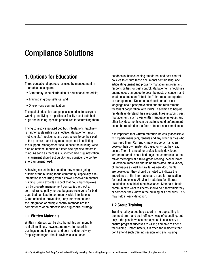## Compliance Solutions

## 1. Options for Education

Three educational approaches used by management in affordable housing are:

- Community-wide distribution of educational materials;
- Training in group settings; and
- One-on-one communication.

The goal of education campaigns is to educate everyone working and living in a particular facility about both bed bugs and building-specific procedures for controlling them.

Trying to resolve isolated bed bug infestations reactively is neither sustainable nor effective. Management must motivate staff, residents, and contractors to do their part in the process—and they must be patient in enlisting this support. Management should base the building-wide plan on national models but keep site-specific factors in mind. As soon as there is a suspected bed bug infestation, management should act quickly and consider the control effort an urgent need.

Achieving a sustainable solution may require going outside of the building to the community, especially if reinfestation is occurring from a known reservoir in another building. Some experts suspect that housing complexes run by property management companies without a zero-tolerance policy for bed bugs are reservoirs for bed bugs that can lead to community-wide infestations.. Communication, prevention, early intervention, and the integration of multiple control methods are the cornerstones of an effective bed bug control strategy.

#### 1.1 Written Materials

Written materials can be distributed through monthly rent bill mailings, newsletters, move-in materials, postings in public places, and door-to-door delivery. Property managers should review leases, tenant

handbooks, housekeeping standards, and pest control policies to endure these documents contain language articulating tenant and property management roles and responsibilities for pest control. Management should use unambiguous language to describe pests of concern and what constitutes an "infestation" that must be reported to management.. Documents should contain clear language about pest prevention and the requirement for tenant cooperation with PMPs. In addition to helping residents understand their responsibilities regarding pest management, such clear written language in leases and other key documents can be useful should enforcement action be required in the face of tenant non-compliance.

It is important that written materials be easily accessible to property managers, tenants and any other parties who may need them. Currently, many property managers develop their own materials based on what they read online. There is a need for professionally developed written materials about bed bugs that communicate the major messages at a third-grade reading level or lower. Educational materials should be translated into a variety of languages as well as Braille. As new documents are developed, they should be noted to indicate the importance of the information and need for translation for local audiences. All-visual materials for illiterate populations should also be developed. Materials should communicate what residents should do if they think they or someone they know in the building has bed bugs. This may help in early detection.

#### 1.2 Group Training

Training led by a bed bug expert in a group setting is the most time- and cost-effective way of educating, but only if the people whose participation is necessary to ensure program success are willing and able to attend the training. Unfortunately, it is often the residents that don't attend such training session who are housing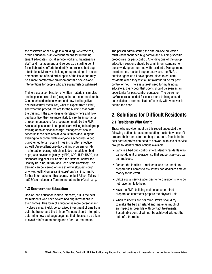the reservoirs of bed bugs in a building. Nevertheless, group education is an excellent means for informing tenant advocates, social service workers, maintenance staff, and management, and serves as a starting point for collaborative efforts to identify and resolve bed bug infestations. Moreover, holding group meetings is a clear demonstration of landlord support of the issue and may be a more comfortable environment than one-on-one interventions for people who are squeamish or ashamed.

Trainers use a combination of written materials, samples, and inspection exercises (using either a real or mock unit). Content should include where and how bed bugs live, nontoxic control measures, what to expect from a PMP, and what the procedures are for the building that hosts the training. If the attendees understand where and how bed bugs live, they are more likely to see the importance of recommendations for preparation made by the PMP. Almost all pest control companies are willing to lead group training at no additional charge. Management should schedule these sessions at various times (including the evening) to accommodate everyone's schedules. A bed bug-themed tenant council meeting is often effective as well. An excellent one-day training program for IPM in affordable housing, which includes a module on bed bugs, was developed jointly by EPA, CDC, HUD, USDA, the Northeast Regional IPM Center, the National Center for Healthy Housing, NPMA, and Penn State University. This training can be viewed on-line at www.stoppests.org/ or www.healthyhomestraining.org/ipm/training.htm. For further information on this course, contact Allison Taisey at aat25@cornell.edu or Tom Neltner at tneltner@nchh.org.

#### 1.3 One-on-One Education

One-on-one education is time intensive, but is the best for residents who have severe bed bug infestations in their homes. This form of education is more personal and involves a meaningful, personalized investment of time from both the trainer and the trainee. Trainers should attempt to determine how bed bugs began so that steps can be taken to avoid reinfestation during and after the treatments.

The person administering the one-on-one education must know about bed bug control and building-specific procedures for pest control. Attending one of the group education sessions should be a minimum standard for those working one-on-one with residents. Management, maintenance, resident support services, the PMP, or outside agencies all have opportunities to educate residents when they visit a unit (whether it be for pest control or not). There is a great need for multilingual educators. Every door that opens should be seen as an opportunity for pest control education. The personnel *and* resources needed for one-on-one training should be available to communicate effectively with whoever is behind the door.

### 2. Solutions for Difficult Residents

#### 2.1 Residents Who Can't

Those who provider input on this report suggested the following options for accommodating residents who can't prepare their homes for bed bug treatment. People in the pest control profession need to network with social service groups to identify other options available.

- Early in a bed bug control effort, identify residents who cannot do unit preparation so that support services can be employed.
- Contact the families of residents who are unable to prepare their homes to ask if they can dedicate time or money to the effort.
- Utilize social service agencies to help residents who do not have family to help.
- Have the PMP, building maintenance, or hired preparation contractor prepare the physical unit.
- When residents are hoarding, PMPs should try to make the bed an island and make as much of an impact as possible with contact treatments. Sustainable control will not be achieved without the help of a therapist.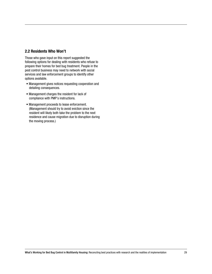#### 2.2 Residents Who Won't

Those who gave input on this report suggested the following options for dealing with residents who refuse to prepare their homes for bed bug treatment. People in the pest control business may need to network with social services and law enforcement groups to identify other options available.

- Management gives notices requesting cooperation and detailing consequences.
- Management charges the resident for lack of compliance with PMP's instructions.
- Management proceeds to lease enforcement. (Management should try to avoid eviction since the resident will likely both take the problem to the next residence and cause migration due to disruption during the moving process.)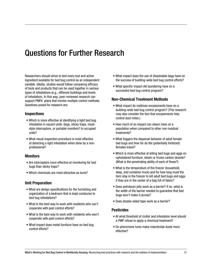## Questions for Further Research

Researchers should strive to test every tool and active ingredient available for bed bug control as an independent variable. Ideally, studies would follow comparing efficacy of tools and products that can be used together in various types of infestations (e.g., different buildings and levels of infestation). In this way, peer-reviewed research can support PMPs' plans that involve multiple control methods. Questions posed for research are:

#### Inspections

- Which is more effective at identifying a light bed bug infestation in vacant units: dogs, sticky traps, moatstyle interceptors, or portable monitors? In occupied units?
- What visual inspection procedure is most effective at detecting a light infestation when done by a nonprofessional?

#### **Monitors**

- Are interceptors more effective at monitoring for bed bugs than sticky traps?
- Which chemicals are most attractive as lures?

#### Unit Preparation

- What are design specifications for the furnishing and organization of a bedroom that is least conducive to bed bug infestations?
- What is the best way to work with residents who can't cooperate with pest control efforts?
- What is the best way to work with residents who won't cooperate with pest control efforts?
- What impact does metal furniture have on bed bug control efforts?
- What impact does the use of dissolvable bags have on the success of building-wide bed bug control efforts?
- What specific impact did laundering have on a successful bed bug control program?

#### Non-Chemical Treatment Methods

- What impact do mattress encasements have on a building-wide bed bug control program? (This research may also consider the fact that encasements help control dust mites.)
- How much of an impact can steam have on a population when compared to other non-residual treatments?
- What triggers the dispersal behavior of adult female bed bugs and how far do the (potentially fertilized) females travel?
- Which is more effective at killing bed bugs and eggs on upholstered furniture: steam or frozen carbon dioxide? (What is the penetrating ability of each of these?)
- What is the temperature of the freezer (household, deep, and container truck) and for how long must the item stay in the freezer to kill adult bed bugs and eggs if they are in the center of a bag full of fabric?
- Does petroleum jelly work as a barrier? If so, what is the width of the barrier needed to guarantee that bed bugs won't make it across?
- Does double-sided tape work as a barrier?

#### Pesticides

- At what threshold of clutter and infestation level should a PMP refuse to apply a chemical treatment?
- Do pheromone lures make insecticidal dusts more effective?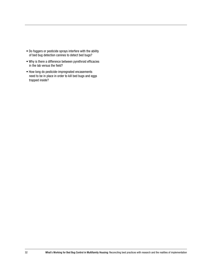- Do foggers or pesticide sprays interfere with the ability of bed bug detection canines to detect bed bugs?
- Why is there a difference between pyrethroid efficacies in the lab versus the field?
- How long do pesticide-impregnated encasements need to be in place in order to kill bed bugs and eggs trapped inside?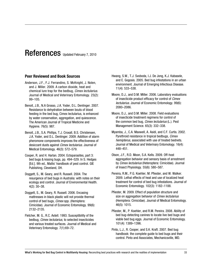## References Updated February 7, 2010

#### Peer Reviewed and Book Sources

- Anderson, J.F., F.J. Ferrandino, S. McKnight, J. Nolen, and J. Miller. 2009. A carbon dioxide, heat and chemical lure trap for the bedbug, *Cimex lectularius*. Journal of Medical and Veterinary Entomology. 23(2): 99–105.
- Benoit, J.B., N.A Grosso, J.A. Yoder, D.L. Denlinger. 2007. Resistance to dehydration between bouts of blood feeding in the bed bug, Cimex lectularius, is enhanced by water conservation, aggregation, and quiescence. The American Journal of Tropical Medicine and Hygiene. 76(5): 987.
- Benoit, J.B., S.A. Phillips, T.J. Croxall, B.S. Christensen, J.A. Yoder, and D.L. Denlinger. 2009. Addition of alarm pheromone components improves the effectiveness of desiccant dusts against *Cimex lectularius*. Journal of Medical Entomology. 46(3): 572–579.
- Cooper, R. and H. Harlan. 2004. Ectoparasites, part 3: bed bugs & kissing bugs, pp. 494–529. In S. Hedges [Ed.]. 9th ed., Mallis' handbook of pest control. GIE Publishing, Cleveland, OH.
- Doggett, S., M. Geary, and R. Russell. 2004. The resurgence of bed bugs in Australia: with notes on their ecology and control. Journal of Environmental Health. 4(2): 30–38.
- Doggett, S., M. Geary, R. Russell. 2006. Encasing mattresses in black plastic will not provide thermal control of bed bugs, *Cimex* spp. (Hemiptera: Cimicidae). Journal of Economic Entomology. 99(6): 2132–2135.
- Fletcher, M. G., R.C. Axtell. 1993. Susceptibility of the bedbug, *Cimex lectularius*, to selected insecticides and various treated surfaces. Journal of Medical and Veterinary Entomology. 7(1):69–72.
- Hwang, S.W., T.J. Svoboda, I.J. De Jong, K.J. Kabasele, and E. Gogosis. 2005. Bed bug infestations in an urban environment. Journal of Emerging Infectious Disease. 11(4): 533–538.
- Moore, D.J., and D.M. Miller. 2006. Laboratory evaluations of insecticide product efficacy for control of *Cimex lectularius*. Journal of Economic Entomology. 99(6): 2080–2086.
- Moore, D.J., and D.M. Miller. 2008. Field evaluations of insecticide treatment regimens for control of the common bed bug, *Cimex lectularius* (L.). Pest Management Science. 65(3): 332–338.
- Myamba, J., C.A. Maxwell, A. Asidi, and C.F. Curtis. 2002. Pyrethroid resistance in tropical bedbugs, *Cimex hemipterus*, associated with use of treated bednets. Journal of Medical and Veterinary Entomology. 16(4): 448–451.
- Olson, J.F., R.D. Moon, S.A. Kells. 2009. Off-host aggregation behavior and sensory basis of arrestment by *Cimex lectularius* (Heteroptera: Cimicidae). Journal of Insect Physiology. 55(6): 580–587.
- Pereira, R.M., P.G. Koehler, M. Pfiester, and W. Walker. 2009. Lethal effects of heat and use of localized heat treatment for control of bed bug infestations. Journal of Economic Entomology. 102(3): 1182–1188.
- Pfiester, M. 2009. Effect of population structure and size on aggregation behavior of *Cimex lectularius* (Hemiptera: Cimicidae). Journal of Medical Entomology. 46(5): 1015.
- Pfiester, M., P. Koehler, and R.M. Pereira. 2008. Ability of bed bug-detecting canines to locate live bed bugs and viable bed bug eggs. Journal of Economic Entomology. 101(4): 1389–1396.
- Pinto, L.J., R. Cooper, and S.K. Kraft. 2007. Bed bug handbook: the complete guide to bed bugs and their control. Pinto and Associates, Mechanicsville, MD.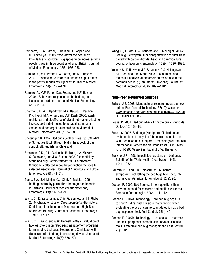Reinhardt, K., A. Harder, S. Holland, J. Hooper, and C. Leake-Lyall. 2008. Who knows the bed bug? Knowledge of adult bed bug appearance increases with people's age in three counties of Great Britain. Journal of Medical Entomology. 45(5): 956–958.

Romero, A., M.F. Potter, D.A. Potter, and K.F. Haynes. 2007a. Insecticide resistance in the bed bug: a factor in the pest's sudden resurgence? Journal of Medical Entomology. 44(2): 175–178.

Romero, A., M.F. Potter, D.A. Potter, and K.F. Haynes. 2009a. Behavioral responses of the bed bug to insecticide residues. Journal of Medical Entomology. 46(1): 51–57.

Sharma, S.K., A.K. Upadhyay, M.A. Haque, K. Padhan, P.K. Tyagi, M.A. Ansari, and A.P. Dash. 2006. Wash resistance and bioefficacy of olyset net—a long-lasting insecticide-treated mosquito net against malaria vectors and nontarget household pests. Journal of Medical Entomology. 43(5): 884–888.

Snetsinger, R. 1997. Bed bugs & other bugs, pp. 392–424. *In* S. Hedges [Ed.]. 9th ed., Mallis' handbook of pest control. GIE Publishing, Cleveland.

Steelman, C.D., A.L. Szalanski, R. Trout, J.A. McKern, C. Solorzano, and J.W. Austin. 2008. Susceptibility of the bed bug *Cimex lectularius* L. (Heteroptera: Cimicidae) collected in poultry production facilities to selected insecticides. Journal of Agricultural and Urban Entomology. 25(1): 41-51.

Temu, E.A., J.N. Minjas, C.J. Shiff, A. Majala. 1999. Bedbug control by permethrin-impregnated bednets in Tanzania. Journal of Medical and Veterinary Entomology. 13(4): 457–459.

Wang, C., K. Saltzmann, E. Chin, G. Bennett, and T. Gibbs. 2010. Characteristics of *Cimex lectularius* (Hemiptera: Cimicidae), Infestation and Dispersal in a High-Rise Apartment Building. Journal of Economic Entomology. 103(1): 172–177.

Wang, C., T. Gibb, and G.W. Bennett. 2009a. Evaluation of two least toxic integrated pest management programs for managing bed bugs (Heteroptera: Cimicidae) with discussion of a bed bug intercepting device. Journal of Medical Entomology. 46(3): 566–571.

Wang, C., T. Gibb, G.W. Bennett, and S. McKnight. 2009c. Bed bug (Heteroptera: Cimicidae) attraction to pitfall traps baited with carbon dioxide, heat, and chemical lure. Journal of Economic Entomology. 102(4): 1580–1585.

Yoon, K.S., D.H. Kwon, J.P. Strycharz, C.S. Hollingsworth, S.H. Lee, and J.M. Clark. 2008. Biochemical and molecular analysis of deltamethrin resistance in the common bed bug (Hemiptera: Cimicidae). Journal of Medical Entomology. 45(6): 1092–1101.

#### Non-Peer Reviewed Sources

Ballard, J.B. 2008. Manufacturer research update-a new option. Pest Control Technology. 36(10): Website: www.pctonline.com/articles/article.asp?ID=3316&CatI D=6&SubCatID=86.

Boase, C. 2001. Bed bugs-back from the brink. Pesticide Outlook.12: 159–62.

Boase, C. 2008. Bed bugs (Hemiptera: Cimicidae): an evidence-based analysis of the current situation. In W.H. Robinson and D. Bajomi. Proceedings of the Sixth International Conference on Urban Pests. OOK-Press Kft., H-8200 Veszprém, Pápai út 37/a, Hungary.

Busvine, J.R. 1958. Insecticide resistance in bed bugs. Bulletin of the World Health Organization 19(6): 1041–1052.

Cabrera, B.J. and C.K. Heinsohn. 2006. Instant symposium: not letting the bed bugs bite...bed, lab, and beyond. American Entomologist. 52(2): 98.

Cooper, R. 2006. Bed Bugs-still more questions than answers: a need for research and public awareness. American Entomologist. 52(2): 111–112.

Cooper, R. 2007a. Technology—are bed bug dogs up to snuff? PMPs must consider many factors when evaluating the use of canine scent detection as a bed bug inspection tool. Pest Control. 75(1): 49.

Cooper, R. 2007b. Technology—just encase—mattress and box spring encasements can serve as essential tools in effective bed bug management. Pest Control. 75(4): 64.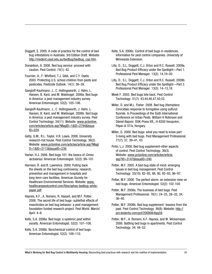Doggett, S. 2009. A code of practice for the control of bed bug infestations in Australia. 3rd Edition Draft. Website: http://medent.usyd.edu.au/bedbug/bedbug\_cop.htm.

Donaldson, A. 2006. Bed bug service: proceed with caution. Pest Control. 74(1): 42.

Fournier, A., F. Whitford, T.J. Gibb, and C.Y. Oseto. 2003. Protecting U.S. school children from pests and pesticides. Pesticide Outlook. 14(1): 36–39.

Gangloff-Kaufmann, J., C. Hollingsworth, J. Hahn, L. Hansen, B. Kard, and M. Waldvogel. 2006a. Bed bugs in America: a pest management industry survey. American Entomologist. 52(2): 105–106.

Gangloff-Kaufmann, J., C. Hollingsworth, J. Hahn, L. Hansen, B. Kard, and M. Waldvogel. 2006b. Bed bugs in America: a pest management industry survey. Pest Control Technology. 34(11): Website: www.pctonline. com/articles/article.asp?MagID=1&ID=2794&Issue  $ID = 224$ .

Getty, G.M., R.L. Taylor, V.R. Lewis. 2008. University research-hot house. Pest Control Technology. 36(2). Website: www.pctonline.com/articles/article.asp?MagI D=1&ID=3113&IssueID=239.

Harlan, H.J. 2006. Bed bugs 101: the basics of *Cimex lectularius*. American Entomologist. 52(2): 99–101.

Harrison, R. and B. Lawrence. 2009. Pulling back the sheets on the bed bug controversy: research, prevention and management in hospitals and long-term care facilities. American Society for Healthcare Environmental Services. Website: www. healthcarepestcontrol.com/files/ashes-bedbug-whitepaper.pdf.

Haynes, K.F., A. Romero, R. Hassell, and M.F. Potter. 2008. The secret life of bed bugs- sublethal effects of insecticides on bed bug behavior: a pest management foundation funded research project. Pest World. March/ April: 4–8.

Kells, S.A. 2006a. Bed bugs: a systemic pest within society. American Entomologist. 52(2): 107–108.

Kells, S.A. 2006b. Nonchemical control of bed bugs. American Entomologist. 52(2): 109–110.

Kells, S.A. 2006c. Control of bed bugs in residences: information for pest control companies. University of Minnesota Extension.

Lilly, D., S.L. Doggett, C.J. Orton and R.C. Russell. 2009a. Bed Bug Product Efficacy under the Spotlight—Part 1. Professional Pest Manager. 13(2): 14,19–20.

Lilly, D., S.L. Doggett, C.J. Orton and R.C. Russell. 2009b. Bed Bug Product Efficacy under the Spotlight—Part 2. Professional Pest Manager. 13(3): 14–15,18.

Meek F. 2003. Bed bugs bite back. Pest Control Technology. 31(7): 43,44,46,47,50,52.

Miller, D. and M.L. Fisher. 2008. Bed bug (Hemiptera: Cimicidae) response to fumigation using sulfuryl fluoride. In Proceedings of the Sixth International Conference on Urban Pests. William H Robinson and Dániel Bajomi. OOK-Press Kft., H-8200 Veszprém, Pápai út 37/a, Hungary.

Miller, D. 2009. Bed bugs: what you need to know part 3-living with bed bugs. Pest Management Professional. 77(7): 37, 39–41, 43.

Pinto, L.J. 2008. Bed bug supplement-other aspects of control. Pest Control Technology. 36(3). Website: www.pctonline.com/articles/article. asp?ID=3147&IssueID=240.

Potter, M.F. 2005. A bed bug state of mind: emerging issues in bed bug management. Pest Control Technology. 33(10): 82–85, 88, 90, 92–93, 96–97.

Potter, M.F. 2006. The perfect storm: an extension view on bed bugs. American Entomologist. 52(2): 102-104.

Potter, M.F. 2008a. The business of bed bugs. Pest Management Professional. 76(1): 24–25, 28–32, 34, 36–40.

Potter, M.F. 2008b. Bed bug supplement- lessons from the past. Pest Control Technology. 36(8): Website: http:// pct.texterity.com/pct/200808/#pg59.

Potter, M.F., A. Romero, K.F. Haynes, and W. Wickemeyer. 2006. Battling bed bugs in apartments. Pest Control Technology. 34: 44–52.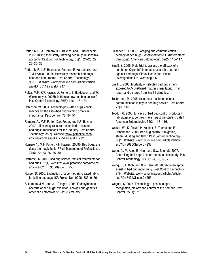Potter, M.F., A. Romero, K.F. Haynes, and E. Hardebeck. 2007. Killing then softly- battling bed bugs in sensitive accounts. Pest Control Technology. 35(1): 24–25, 27, 29–30, 32.

Potter, M.F., K.F. Haynes, A. Romero, E. Hardebeck, and T. Jarzynka. 2008a. University research-bed bugs, heat and hotel rooms. Pest Control Technology. 36(10). Website: www.pctonline.com/articles/article. asp?ID=3311&IssueID=247.

Potter, M.F., K.F. Haynes, A. Romero, E. Hardebeck, and W. Wickenmeyer. 2008b. Is there a new bed bug answer? Pest Control Technology. 36(6): 116, 118–124.

Robinson, W. 2004. Technologies—Bed bugs knock roaches off the list—bed bug training grows in importance. Pest Control. 72(10): 51.

Romero, A., M.F. Potter, D.A. Potter, and K.F. Haynes. 2007b. University research-insecticide-resistant bed bugs: implications for the Industry. Pest Control Technology. 35(7). Website: www.pctonline.com/ articles/article.asp?ID=2954&IssueID=232.

Romero A., M.F. Potter, K.F. Haynes. 2009b. Bed bugs; are dusts the magic bullet? Pest Management Professional. 77(5): 22–23, 26, 28, 30.

Rotramel, G. 2009. Bed bug service-tactical treatments for bed bugs. 37(1). Website: www.pctonline.com/articles/ article.asp?ID=3385&IssueID=250.

Russel, D. 2006. Evaluation of a permethrin-treated fabric for killing bedbugs. ICR Project No.: 0206–383–0136.

Sakamoto, J.M., and J.L. Rasgon. 2006. Endosymbiotic bacteria of bed bugs: evolution, ecology and genetics. American Entomologist. *52(2): 119–122*.

Siljander, E.D. 2006. Foraging and communication ecology of bed bugs *Cimex lectularius* L. (Heteroptera: Cimicidae). American Entomologist. 52(2): 116–117.

Small, G. 2006. Field trial to assess the efficacy of a combined Cryonite/diatomaceous earth treatment against bed bugs, Cimex lectularius. Insect Investigations Ltd. Wentloog, UK.

Snell, E. 2008. Mortality of selected bed bug strains exposed to ActiveGuard mattress liner fabric. Trial report and pictures from Snell Scientifics.

Testerman, M. 2005. resources—solution center communication is key to bed bug service. Pest Control. 73(9): 116.

Todd, R.G. 2006. Efficacy of bed bug control products in lab bioassays: do they make it past the starting gate? American Entomologist. 52(2): 113–116.

Walker, W., K. Glover, P. Koehler, E. Thoms and E. Hobelmann. 2008. Bed bug control-fumigation, steam, dusting and labor. Pest Control Technology. 36(1). Website: www.pctonline.com/articles/article. asp?ID=3085&IssueID=238.

Wang, C., M. Abou El-Nour, and G.W. Bennett. 2007. Controlling bed bugs in apartments: a case study. Pest Control Technology. 35(11): 64, 66, 68, 70.

Wang, C., T. Gibb, and G.W. Bennett. 2009b. Interceptors assist in bed bug monitoring. Pest Control Technology. 37(4). Website: www.pctonline.com/articles/article. asp?ID=3434&IssueID=255.

Wegner, G. 2007. Technology—pest spotlight recognition, biology and control of the bed bug. Pest Control. 75 (1): 52.